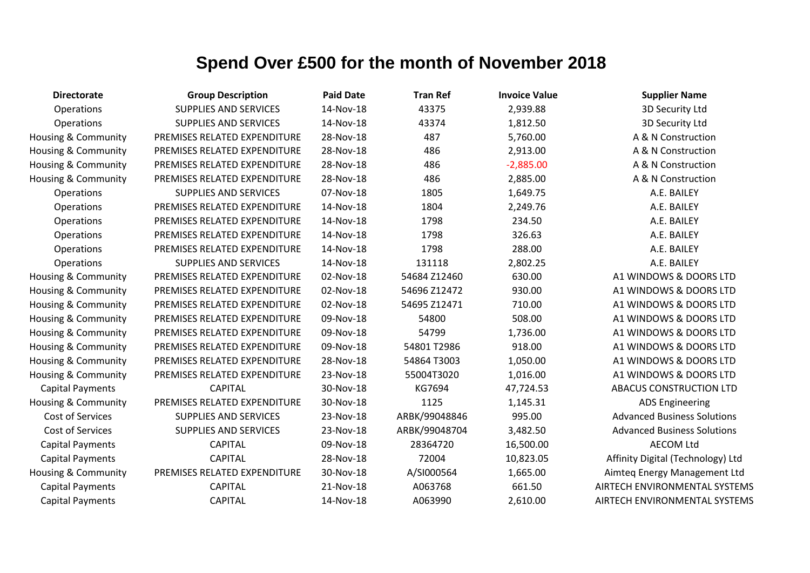| <b>Directorate</b>      | <b>Group Description</b>     | <b>Paid Date</b> | <b>Tran Ref</b> | <b>Invoice Value</b> | <b>Supplier Name</b>               |
|-------------------------|------------------------------|------------------|-----------------|----------------------|------------------------------------|
| Operations              | <b>SUPPLIES AND SERVICES</b> | 14-Nov-18        | 43375           | 2,939.88             | 3D Security Ltd                    |
| Operations              | <b>SUPPLIES AND SERVICES</b> | 14-Nov-18        | 43374           | 1,812.50             | 3D Security Ltd                    |
| Housing & Community     | PREMISES RELATED EXPENDITURE | 28-Nov-18        | 487             | 5,760.00             | A & N Construction                 |
| Housing & Community     | PREMISES RELATED EXPENDITURE | 28-Nov-18        | 486             | 2,913.00             | A & N Construction                 |
| Housing & Community     | PREMISES RELATED EXPENDITURE | 28-Nov-18        | 486             | $-2,885.00$          | A & N Construction                 |
| Housing & Community     | PREMISES RELATED EXPENDITURE | 28-Nov-18        | 486             | 2,885.00             | A & N Construction                 |
| Operations              | <b>SUPPLIES AND SERVICES</b> | 07-Nov-18        | 1805            | 1,649.75             | A.E. BAILEY                        |
| Operations              | PREMISES RELATED EXPENDITURE | 14-Nov-18        | 1804            | 2,249.76             | A.E. BAILEY                        |
| Operations              | PREMISES RELATED EXPENDITURE | 14-Nov-18        | 1798            | 234.50               | A.E. BAILEY                        |
| Operations              | PREMISES RELATED EXPENDITURE | 14-Nov-18        | 1798            | 326.63               | A.E. BAILEY                        |
| Operations              | PREMISES RELATED EXPENDITURE | 14-Nov-18        | 1798            | 288.00               | A.E. BAILEY                        |
| Operations              | <b>SUPPLIES AND SERVICES</b> | 14-Nov-18        | 131118          | 2,802.25             | A.E. BAILEY                        |
| Housing & Community     | PREMISES RELATED EXPENDITURE | 02-Nov-18        | 54684 Z12460    | 630.00               | A1 WINDOWS & DOORS LTD             |
| Housing & Community     | PREMISES RELATED EXPENDITURE | 02-Nov-18        | 54696 Z12472    | 930.00               | A1 WINDOWS & DOORS LTD             |
| Housing & Community     | PREMISES RELATED EXPENDITURE | 02-Nov-18        | 54695 Z12471    | 710.00               | A1 WINDOWS & DOORS LTD             |
| Housing & Community     | PREMISES RELATED EXPENDITURE | 09-Nov-18        | 54800           | 508.00               | A1 WINDOWS & DOORS LTD             |
| Housing & Community     | PREMISES RELATED EXPENDITURE | 09-Nov-18        | 54799           | 1,736.00             | A1 WINDOWS & DOORS LTD             |
| Housing & Community     | PREMISES RELATED EXPENDITURE | 09-Nov-18        | 54801T2986      | 918.00               | A1 WINDOWS & DOORS LTD             |
| Housing & Community     | PREMISES RELATED EXPENDITURE | 28-Nov-18        | 54864 T3003     | 1,050.00             | A1 WINDOWS & DOORS LTD             |
| Housing & Community     | PREMISES RELATED EXPENDITURE | 23-Nov-18        | 55004T3020      | 1,016.00             | A1 WINDOWS & DOORS LTD             |
| <b>Capital Payments</b> | <b>CAPITAL</b>               | 30-Nov-18        | KG7694          | 47,724.53            | <b>ABACUS CONSTRUCTION LTD</b>     |
| Housing & Community     | PREMISES RELATED EXPENDITURE | 30-Nov-18        | 1125            | 1,145.31             | <b>ADS Engineering</b>             |
| Cost of Services        | <b>SUPPLIES AND SERVICES</b> | 23-Nov-18        | ARBK/99048846   | 995.00               | <b>Advanced Business Solutions</b> |
| <b>Cost of Services</b> | <b>SUPPLIES AND SERVICES</b> | 23-Nov-18        | ARBK/99048704   | 3,482.50             | <b>Advanced Business Solutions</b> |
| <b>Capital Payments</b> | <b>CAPITAL</b>               | 09-Nov-18        | 28364720        | 16,500.00            | <b>AECOM Ltd</b>                   |
| <b>Capital Payments</b> | <b>CAPITAL</b>               | 28-Nov-18        | 72004           | 10,823.05            | Affinity Digital (Technology) Ltd  |
| Housing & Community     | PREMISES RELATED EXPENDITURE | 30-Nov-18        | A/SI000564      | 1,665.00             | Aimteg Energy Management Ltd       |
| <b>Capital Payments</b> | <b>CAPITAL</b>               | 21-Nov-18        | A063768         | 661.50               | AIRTECH ENVIRONMENTAL SYSTEMS      |
| <b>Capital Payments</b> | <b>CAPITAL</b>               | 14-Nov-18        | A063990         | 2,610.00             | AIRTECH ENVIRONMENTAL SYSTEMS      |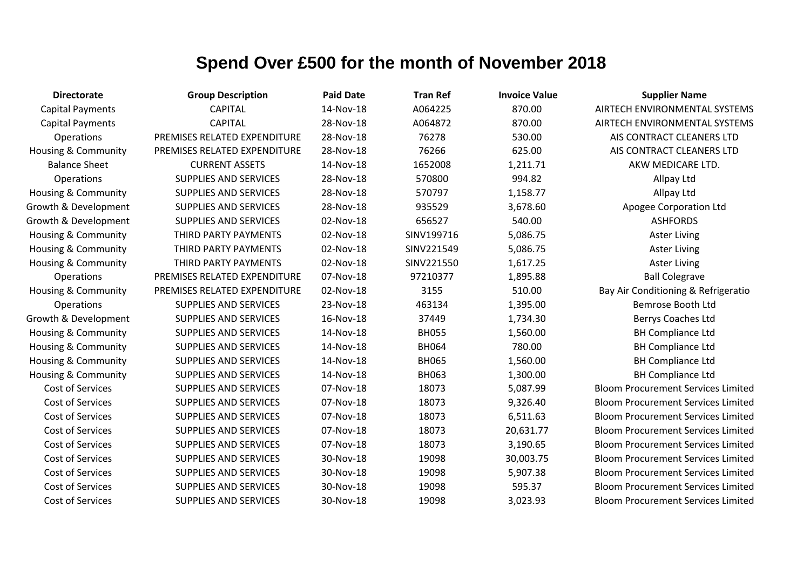| <b>Directorate</b>             | <b>Group Description</b>     | <b>Paid Date</b> | <b>Tran Ref</b> | <b>Invoice Value</b> | <b>Supplier Name</b>                      |
|--------------------------------|------------------------------|------------------|-----------------|----------------------|-------------------------------------------|
| <b>Capital Payments</b>        | <b>CAPITAL</b>               | 14-Nov-18        | A064225         | 870.00               | AIRTECH ENVIRONMENTAL SYSTEMS             |
| <b>Capital Payments</b>        | <b>CAPITAL</b>               | 28-Nov-18        | A064872         | 870.00               | AIRTECH ENVIRONMENTAL SYSTEMS             |
| Operations                     | PREMISES RELATED EXPENDITURE | 28-Nov-18        | 76278           | 530.00               | AIS CONTRACT CLEANERS LTD                 |
| <b>Housing &amp; Community</b> | PREMISES RELATED EXPENDITURE | 28-Nov-18        | 76266           | 625.00               | AIS CONTRACT CLEANERS LTD                 |
| <b>Balance Sheet</b>           | <b>CURRENT ASSETS</b>        | 14-Nov-18        | 1652008         | 1,211.71             | AKW MEDICARE LTD.                         |
| Operations                     | <b>SUPPLIES AND SERVICES</b> | 28-Nov-18        | 570800          | 994.82               | Allpay Ltd                                |
| <b>Housing &amp; Community</b> | SUPPLIES AND SERVICES        | 28-Nov-18        | 570797          | 1,158.77             | Allpay Ltd                                |
| Growth & Development           | <b>SUPPLIES AND SERVICES</b> | 28-Nov-18        | 935529          | 3,678.60             | Apogee Corporation Ltd                    |
| Growth & Development           | SUPPLIES AND SERVICES        | 02-Nov-18        | 656527          | 540.00               | <b>ASHFORDS</b>                           |
| <b>Housing &amp; Community</b> | THIRD PARTY PAYMENTS         | 02-Nov-18        | SINV199716      | 5,086.75             | <b>Aster Living</b>                       |
| Housing & Community            | THIRD PARTY PAYMENTS         | 02-Nov-18        | SINV221549      | 5,086.75             | <b>Aster Living</b>                       |
| Housing & Community            | THIRD PARTY PAYMENTS         | 02-Nov-18        | SINV221550      | 1,617.25             | <b>Aster Living</b>                       |
| Operations                     | PREMISES RELATED EXPENDITURE | 07-Nov-18        | 97210377        | 1,895.88             | <b>Ball Colegrave</b>                     |
| Housing & Community            | PREMISES RELATED EXPENDITURE | 02-Nov-18        | 3155            | 510.00               | Bay Air Conditioning & Refrigeratio       |
| Operations                     | SUPPLIES AND SERVICES        | 23-Nov-18        | 463134          | 1,395.00             | <b>Bemrose Booth Ltd</b>                  |
| Growth & Development           | <b>SUPPLIES AND SERVICES</b> | 16-Nov-18        | 37449           | 1,734.30             | Berrys Coaches Ltd                        |
| Housing & Community            | SUPPLIES AND SERVICES        | 14-Nov-18        | <b>BH055</b>    | 1,560.00             | <b>BH Compliance Ltd</b>                  |
| Housing & Community            | <b>SUPPLIES AND SERVICES</b> | 14-Nov-18        | <b>BH064</b>    | 780.00               | <b>BH Compliance Ltd</b>                  |
| Housing & Community            | <b>SUPPLIES AND SERVICES</b> | 14-Nov-18        | <b>BH065</b>    | 1,560.00             | <b>BH Compliance Ltd</b>                  |
| Housing & Community            | <b>SUPPLIES AND SERVICES</b> | 14-Nov-18        | <b>BH063</b>    | 1,300.00             | <b>BH Compliance Ltd</b>                  |
| <b>Cost of Services</b>        | SUPPLIES AND SERVICES        | 07-Nov-18        | 18073           | 5,087.99             | <b>Bloom Procurement Services Limited</b> |
| Cost of Services               | <b>SUPPLIES AND SERVICES</b> | 07-Nov-18        | 18073           | 9,326.40             | <b>Bloom Procurement Services Limited</b> |
| Cost of Services               | SUPPLIES AND SERVICES        | 07-Nov-18        | 18073           | 6,511.63             | <b>Bloom Procurement Services Limited</b> |
| <b>Cost of Services</b>        | <b>SUPPLIES AND SERVICES</b> | 07-Nov-18        | 18073           | 20,631.77            | <b>Bloom Procurement Services Limited</b> |
| Cost of Services               | <b>SUPPLIES AND SERVICES</b> | 07-Nov-18        | 18073           | 3,190.65             | <b>Bloom Procurement Services Limited</b> |
| Cost of Services               | <b>SUPPLIES AND SERVICES</b> | 30-Nov-18        | 19098           | 30,003.75            | <b>Bloom Procurement Services Limited</b> |
| <b>Cost of Services</b>        | SUPPLIES AND SERVICES        | 30-Nov-18        | 19098           | 5,907.38             | <b>Bloom Procurement Services Limited</b> |
| Cost of Services               | <b>SUPPLIES AND SERVICES</b> | 30-Nov-18        | 19098           | 595.37               | <b>Bloom Procurement Services Limited</b> |
| <b>Cost of Services</b>        | <b>SUPPLIES AND SERVICES</b> | 30-Nov-18        | 19098           | 3,023.93             | <b>Bloom Procurement Services Limited</b> |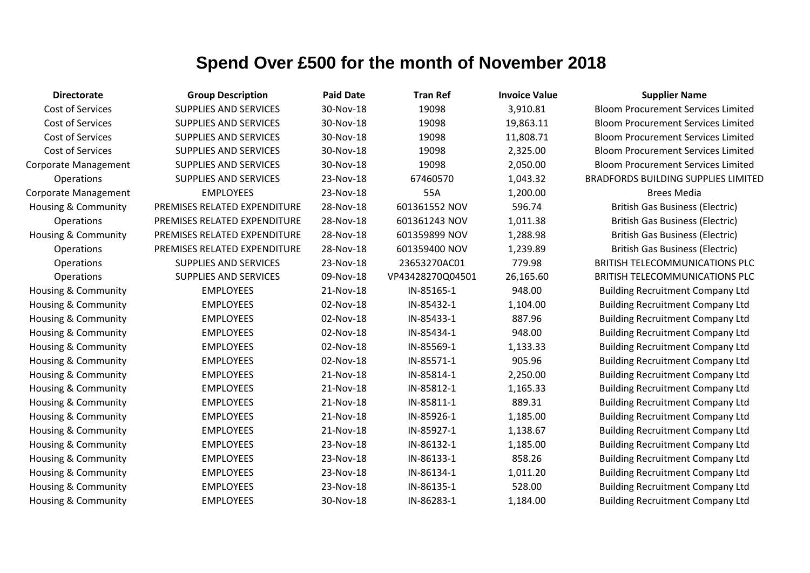| <b>Directorate</b>             | <b>Group Description</b>     | <b>Paid Date</b> | <b>Tran Ref</b>  | <b>Invoice Value</b> | <b>Supplier Name</b>            |
|--------------------------------|------------------------------|------------------|------------------|----------------------|---------------------------------|
| Cost of Services               | <b>SUPPLIES AND SERVICES</b> | 30-Nov-18        | 19098            | 3,910.81             | <b>Bloom Procurement Servi</b>  |
| Cost of Services               | <b>SUPPLIES AND SERVICES</b> | 30-Nov-18        | 19098            | 19,863.11            | <b>Bloom Procurement Servi</b>  |
| Cost of Services               | SUPPLIES AND SERVICES        | 30-Nov-18        | 19098            | 11,808.71            | <b>Bloom Procurement Servi</b>  |
| Cost of Services               | <b>SUPPLIES AND SERVICES</b> | 30-Nov-18        | 19098            | 2,325.00             | <b>Bloom Procurement Servi</b>  |
| <b>Corporate Management</b>    | SUPPLIES AND SERVICES        | 30-Nov-18        | 19098            | 2,050.00             | <b>Bloom Procurement Servi</b>  |
| Operations                     | SUPPLIES AND SERVICES        | 23-Nov-18        | 67460570         | 1,043.32             | <b>BRADFORDS BUILDING SUPF</b>  |
| <b>Corporate Management</b>    | <b>EMPLOYEES</b>             | 23-Nov-18        | 55A              | 1,200.00             | <b>Brees Media</b>              |
| <b>Housing &amp; Community</b> | PREMISES RELATED EXPENDITURE | 28-Nov-18        | 601361552 NOV    | 596.74               | <b>British Gas Business (B</b>  |
| Operations                     | PREMISES RELATED EXPENDITURE | 28-Nov-18        | 601361243 NOV    | 1,011.38             | <b>British Gas Business (E</b>  |
| <b>Housing &amp; Community</b> | PREMISES RELATED EXPENDITURE | 28-Nov-18        | 601359899 NOV    | 1,288.98             | <b>British Gas Business (E</b>  |
| <b>Operations</b>              | PREMISES RELATED EXPENDITURE | 28-Nov-18        | 601359400 NOV    | 1,239.89             | <b>British Gas Business (B</b>  |
| Operations                     | SUPPLIES AND SERVICES        | 23-Nov-18        | 23653270AC01     | 779.98               | <b>BRITISH TELECOMMUNICA</b>    |
| Operations                     | SUPPLIES AND SERVICES        | 09-Nov-18        | VP43428270Q04501 | 26,165.60            | <b>BRITISH TELECOMMUNICA</b>    |
| Housing & Community            | <b>EMPLOYEES</b>             | 21-Nov-18        | IN-85165-1       | 948.00               | <b>Building Recruitment Cor</b> |
| Housing & Community            | <b>EMPLOYEES</b>             | 02-Nov-18        | IN-85432-1       | 1,104.00             | <b>Building Recruitment Cor</b> |
| Housing & Community            | <b>EMPLOYEES</b>             | 02-Nov-18        | IN-85433-1       | 887.96               | <b>Building Recruitment Cor</b> |
| Housing & Community            | <b>EMPLOYEES</b>             | 02-Nov-18        | IN-85434-1       | 948.00               | <b>Building Recruitment Cor</b> |
| Housing & Community            | <b>EMPLOYEES</b>             | 02-Nov-18        | IN-85569-1       | 1,133.33             | <b>Building Recruitment Cor</b> |
| Housing & Community            | <b>EMPLOYEES</b>             | 02-Nov-18        | IN-85571-1       | 905.96               | <b>Building Recruitment Cor</b> |
| Housing & Community            | <b>EMPLOYEES</b>             | 21-Nov-18        | IN-85814-1       | 2,250.00             | <b>Building Recruitment Cor</b> |
| <b>Housing &amp; Community</b> | <b>EMPLOYEES</b>             | 21-Nov-18        | IN-85812-1       | 1,165.33             | <b>Building Recruitment Cor</b> |
| Housing & Community            | <b>EMPLOYEES</b>             | 21-Nov-18        | IN-85811-1       | 889.31               | <b>Building Recruitment Cor</b> |
| Housing & Community            | <b>EMPLOYEES</b>             | 21-Nov-18        | IN-85926-1       | 1,185.00             | <b>Building Recruitment Cor</b> |
| Housing & Community            | <b>EMPLOYEES</b>             | 21-Nov-18        | IN-85927-1       | 1,138.67             | <b>Building Recruitment Cor</b> |
| Housing & Community            | <b>EMPLOYEES</b>             | 23-Nov-18        | IN-86132-1       | 1,185.00             | <b>Building Recruitment Cor</b> |
| Housing & Community            | <b>EMPLOYEES</b>             | 23-Nov-18        | IN-86133-1       | 858.26               | <b>Building Recruitment Cor</b> |
| Housing & Community            | <b>EMPLOYEES</b>             | 23-Nov-18        | IN-86134-1       | 1,011.20             | <b>Building Recruitment Cor</b> |
| Housing & Community            | <b>EMPLOYEES</b>             | 23-Nov-18        | IN-86135-1       | 528.00               | <b>Building Recruitment Cor</b> |
| Housing & Community            | <b>EMPLOYEES</b>             | 30-Nov-18        | IN-86283-1       | 1,184.00             | <b>Building Recruitment Cor</b> |
|                                |                              |                  |                  |                      |                                 |

Bloom Procurement Services Limited Bloom Procurement Services Limited Bloom Procurement Services Limited Bloom Procurement Services Limited Bloom Procurement Services Limited BRADFORDS BUILDING SUPPLIES LIMITED British Gas Business (Electric) **British Gas Business (Electric)** British Gas Business (Electric) British Gas Business (Electric) BRITISH TELECOMMUNICATIONS PLC BRITISH TELECOMMUNICATIONS PLC. Building Recruitment Company Ltd Building Recruitment Company Ltd Building Recruitment Company Ltd Building Recruitment Company Ltd Building Recruitment Company Ltd Building Recruitment Company Ltd Building Recruitment Company Ltd Building Recruitment Company Ltd Building Recruitment Company Ltd Building Recruitment Company Ltd Building Recruitment Company Ltd Building Recruitment Company Ltd Building Recruitment Company Ltd Building Recruitment Company Ltd Building Recruitment Company Ltd Building Recruitment Company Ltd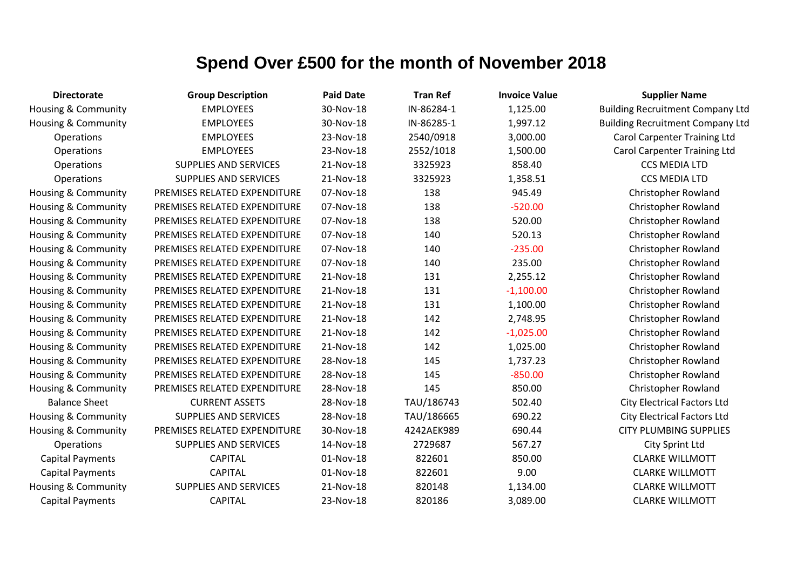| <b>Directorate</b>             | <b>Group Description</b>     | <b>Paid Date</b> | <b>Tran Ref</b> | <b>Invoice Value</b> | <b>Supplier Name</b>                    |
|--------------------------------|------------------------------|------------------|-----------------|----------------------|-----------------------------------------|
| Housing & Community            | <b>EMPLOYEES</b>             | 30-Nov-18        | IN-86284-1      | 1,125.00             | <b>Building Recruitment Company Ltd</b> |
| Housing & Community            | <b>EMPLOYEES</b>             | 30-Nov-18        | IN-86285-1      | 1,997.12             | <b>Building Recruitment Company Ltd</b> |
| Operations                     | <b>EMPLOYEES</b>             | 23-Nov-18        | 2540/0918       | 3,000.00             | <b>Carol Carpenter Training Ltd</b>     |
| Operations                     | <b>EMPLOYEES</b>             | 23-Nov-18        | 2552/1018       | 1,500.00             | <b>Carol Carpenter Training Ltd</b>     |
| Operations                     | <b>SUPPLIES AND SERVICES</b> | 21-Nov-18        | 3325923         | 858.40               | <b>CCS MEDIA LTD</b>                    |
| Operations                     | <b>SUPPLIES AND SERVICES</b> | 21-Nov-18        | 3325923         | 1,358.51             | <b>CCS MEDIA LTD</b>                    |
| Housing & Community            | PREMISES RELATED EXPENDITURE | 07-Nov-18        | 138             | 945.49               | Christopher Rowland                     |
| <b>Housing &amp; Community</b> | PREMISES RELATED EXPENDITURE | 07-Nov-18        | 138             | $-520.00$            | Christopher Rowland                     |
| <b>Housing &amp; Community</b> | PREMISES RELATED EXPENDITURE | 07-Nov-18        | 138             | 520.00               | Christopher Rowland                     |
| <b>Housing &amp; Community</b> | PREMISES RELATED EXPENDITURE | 07-Nov-18        | 140             | 520.13               | Christopher Rowland                     |
| Housing & Community            | PREMISES RELATED EXPENDITURE | 07-Nov-18        | 140             | $-235.00$            | Christopher Rowland                     |
| <b>Housing &amp; Community</b> | PREMISES RELATED EXPENDITURE | 07-Nov-18        | 140             | 235.00               | Christopher Rowland                     |
| <b>Housing &amp; Community</b> | PREMISES RELATED EXPENDITURE | 21-Nov-18        | 131             | 2,255.12             | <b>Christopher Rowland</b>              |
| <b>Housing &amp; Community</b> | PREMISES RELATED EXPENDITURE | 21-Nov-18        | 131             | $-1,100.00$          | Christopher Rowland                     |
| <b>Housing &amp; Community</b> | PREMISES RELATED EXPENDITURE | 21-Nov-18        | 131             | 1,100.00             | Christopher Rowland                     |
| <b>Housing &amp; Community</b> | PREMISES RELATED EXPENDITURE | 21-Nov-18        | 142             | 2,748.95             | Christopher Rowland                     |
| Housing & Community            | PREMISES RELATED EXPENDITURE | 21-Nov-18        | 142             | $-1,025.00$          | Christopher Rowland                     |
| <b>Housing &amp; Community</b> | PREMISES RELATED EXPENDITURE | 21-Nov-18        | 142             | 1,025.00             | Christopher Rowland                     |
| Housing & Community            | PREMISES RELATED EXPENDITURE | 28-Nov-18        | 145             | 1,737.23             | Christopher Rowland                     |
| <b>Housing &amp; Community</b> | PREMISES RELATED EXPENDITURE | 28-Nov-18        | 145             | $-850.00$            | <b>Christopher Rowland</b>              |
| <b>Housing &amp; Community</b> | PREMISES RELATED EXPENDITURE | 28-Nov-18        | 145             | 850.00               | Christopher Rowland                     |
| <b>Balance Sheet</b>           | <b>CURRENT ASSETS</b>        | 28-Nov-18        | TAU/186743      | 502.40               | <b>City Electrical Factors Ltd</b>      |
| Housing & Community            | SUPPLIES AND SERVICES        | 28-Nov-18        | TAU/186665      | 690.22               | <b>City Electrical Factors Ltd</b>      |
| <b>Housing &amp; Community</b> | PREMISES RELATED EXPENDITURE | 30-Nov-18        | 4242AEK989      | 690.44               | <b>CITY PLUMBING SUPPLIES</b>           |
| Operations                     | <b>SUPPLIES AND SERVICES</b> | 14-Nov-18        | 2729687         | 567.27               | City Sprint Ltd                         |
| <b>Capital Payments</b>        | <b>CAPITAL</b>               | 01-Nov-18        | 822601          | 850.00               | <b>CLARKE WILLMOTT</b>                  |
| <b>Capital Payments</b>        | <b>CAPITAL</b>               | 01-Nov-18        | 822601          | 9.00                 | <b>CLARKE WILLMOTT</b>                  |
| <b>Housing &amp; Community</b> | <b>SUPPLIES AND SERVICES</b> | 21-Nov-18        | 820148          | 1,134.00             | <b>CLARKE WILLMOTT</b>                  |
| <b>Capital Payments</b>        | <b>CAPITAL</b>               | 23-Nov-18        | 820186          | 3,089.00             | <b>CLARKE WILLMOTT</b>                  |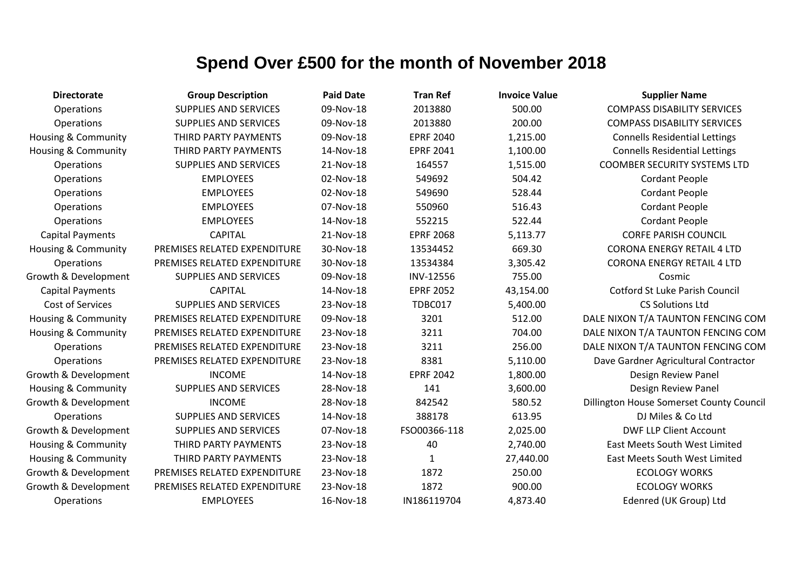| <b>Directorate</b>             | <b>Group Description</b>     | <b>Paid Date</b> | <b>Tran Ref</b>  | <b>Invoice Value</b> | <b>Supplier Name</b>                            |
|--------------------------------|------------------------------|------------------|------------------|----------------------|-------------------------------------------------|
| Operations                     | <b>SUPPLIES AND SERVICES</b> | 09-Nov-18        | 2013880          | 500.00               | <b>COMPASS DISABILITY SERVICES</b>              |
| Operations                     | <b>SUPPLIES AND SERVICES</b> | 09-Nov-18        | 2013880          | 200.00               | <b>COMPASS DISABILITY SERVICES</b>              |
| Housing & Community            | THIRD PARTY PAYMENTS         | 09-Nov-18        | <b>EPRF 2040</b> | 1,215.00             | <b>Connells Residential Lettings</b>            |
| <b>Housing &amp; Community</b> | THIRD PARTY PAYMENTS         | 14-Nov-18        | <b>EPRF 2041</b> | 1,100.00             | <b>Connells Residential Lettings</b>            |
| Operations                     | <b>SUPPLIES AND SERVICES</b> | 21-Nov-18        | 164557           | 1,515.00             | <b>COOMBER SECURITY SYSTEMS LTD</b>             |
| Operations                     | <b>EMPLOYEES</b>             | 02-Nov-18        | 549692           | 504.42               | <b>Cordant People</b>                           |
| Operations                     | <b>EMPLOYEES</b>             | 02-Nov-18        | 549690           | 528.44               | <b>Cordant People</b>                           |
| Operations                     | <b>EMPLOYEES</b>             | 07-Nov-18        | 550960           | 516.43               | <b>Cordant People</b>                           |
| Operations                     | <b>EMPLOYEES</b>             | 14-Nov-18        | 552215           | 522.44               | <b>Cordant People</b>                           |
| <b>Capital Payments</b>        | <b>CAPITAL</b>               | 21-Nov-18        | <b>EPRF 2068</b> | 5,113.77             | <b>CORFE PARISH COUNCIL</b>                     |
| Housing & Community            | PREMISES RELATED EXPENDITURE | 30-Nov-18        | 13534452         | 669.30               | <b>CORONA ENERGY RETAIL 4 LTD</b>               |
| Operations                     | PREMISES RELATED EXPENDITURE | 30-Nov-18        | 13534384         | 3,305.42             | <b>CORONA ENERGY RETAIL 4 LTD</b>               |
| Growth & Development           | SUPPLIES AND SERVICES        | 09-Nov-18        | INV-12556        | 755.00               | Cosmic                                          |
| <b>Capital Payments</b>        | <b>CAPITAL</b>               | 14-Nov-18        | <b>EPRF 2052</b> | 43,154.00            | Cotford St Luke Parish Council                  |
| Cost of Services               | <b>SUPPLIES AND SERVICES</b> | 23-Nov-18        | TDBC017          | 5,400.00             | <b>CS Solutions Ltd</b>                         |
| <b>Housing &amp; Community</b> | PREMISES RELATED EXPENDITURE | 09-Nov-18        | 3201             | 512.00               | DALE NIXON T/A TAUNTON FENCING COM              |
| Housing & Community            | PREMISES RELATED EXPENDITURE | 23-Nov-18        | 3211             | 704.00               | DALE NIXON T/A TAUNTON FENCING COM              |
| Operations                     | PREMISES RELATED EXPENDITURE | 23-Nov-18        | 3211             | 256.00               | DALE NIXON T/A TAUNTON FENCING COM              |
| Operations                     | PREMISES RELATED EXPENDITURE | 23-Nov-18        | 8381             | 5,110.00             | Dave Gardner Agricultural Contractor            |
| Growth & Development           | <b>INCOME</b>                | 14-Nov-18        | <b>EPRF 2042</b> | 1,800.00             | Design Review Panel                             |
| <b>Housing &amp; Community</b> | <b>SUPPLIES AND SERVICES</b> | 28-Nov-18        | 141              | 3,600.00             | Design Review Panel                             |
| Growth & Development           | <b>INCOME</b>                | 28-Nov-18        | 842542           | 580.52               | <b>Dillington House Somerset County Council</b> |
| Operations                     | <b>SUPPLIES AND SERVICES</b> | 14-Nov-18        | 388178           | 613.95               | DJ Miles & Co Ltd                               |
| Growth & Development           | <b>SUPPLIES AND SERVICES</b> | 07-Nov-18        | FSO00366-118     | 2,025.00             | <b>DWF LLP Client Account</b>                   |
| Housing & Community            | THIRD PARTY PAYMENTS         | 23-Nov-18        | 40               | 2,740.00             | East Meets South West Limited                   |
| <b>Housing &amp; Community</b> | THIRD PARTY PAYMENTS         | 23-Nov-18        | 1                | 27,440.00            | East Meets South West Limited                   |
| Growth & Development           | PREMISES RELATED EXPENDITURE | 23-Nov-18        | 1872             | 250.00               | <b>ECOLOGY WORKS</b>                            |
| Growth & Development           | PREMISES RELATED EXPENDITURE | 23-Nov-18        | 1872             | 900.00               | <b>ECOLOGY WORKS</b>                            |
| Operations                     | <b>EMPLOYEES</b>             | 16-Nov-18        | IN186119704      | 4,873.40             | Edenred (UK Group) Ltd                          |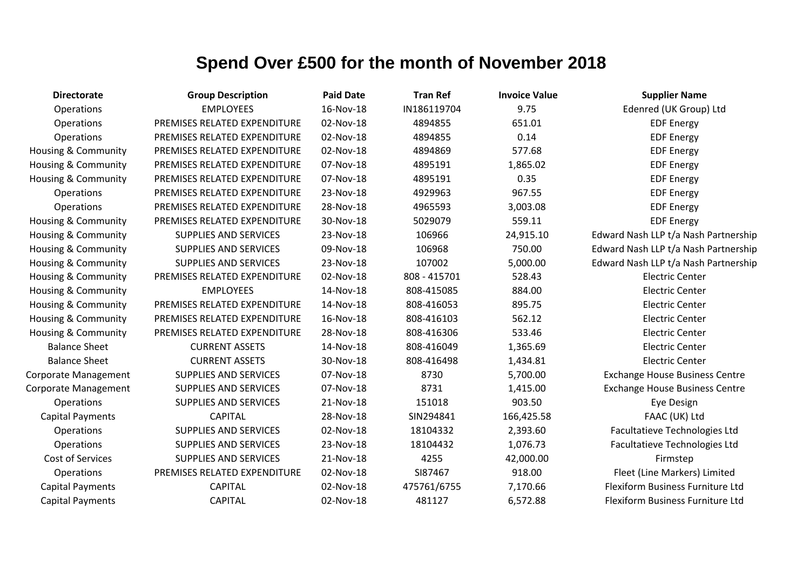| <b>Directorate</b>             | <b>Group Description</b>     | <b>Paid Date</b> | <b>Tran Ref</b> | <b>Invoice Value</b> | <b>Supplier Name</b>                  |
|--------------------------------|------------------------------|------------------|-----------------|----------------------|---------------------------------------|
| Operations                     | <b>EMPLOYEES</b>             | 16-Nov-18        | IN186119704     | 9.75                 | Edenred (UK Group) Ltd                |
| <b>Operations</b>              | PREMISES RELATED EXPENDITURE | 02-Nov-18        | 4894855         | 651.01               | <b>EDF Energy</b>                     |
| Operations                     | PREMISES RELATED EXPENDITURE | 02-Nov-18        | 4894855         | 0.14                 | <b>EDF Energy</b>                     |
| <b>Housing &amp; Community</b> | PREMISES RELATED EXPENDITURE | 02-Nov-18        | 4894869         | 577.68               | <b>EDF Energy</b>                     |
| <b>Housing &amp; Community</b> | PREMISES RELATED EXPENDITURE | 07-Nov-18        | 4895191         | 1,865.02             | <b>EDF Energy</b>                     |
| <b>Housing &amp; Community</b> | PREMISES RELATED EXPENDITURE | 07-Nov-18        | 4895191         | 0.35                 | <b>EDF Energy</b>                     |
| Operations                     | PREMISES RELATED EXPENDITURE | 23-Nov-18        | 4929963         | 967.55               | <b>EDF Energy</b>                     |
| Operations                     | PREMISES RELATED EXPENDITURE | 28-Nov-18        | 4965593         | 3,003.08             | <b>EDF Energy</b>                     |
| Housing & Community            | PREMISES RELATED EXPENDITURE | 30-Nov-18        | 5029079         | 559.11               | <b>EDF Energy</b>                     |
| <b>Housing &amp; Community</b> | <b>SUPPLIES AND SERVICES</b> | 23-Nov-18        | 106966          | 24,915.10            | Edward Nash LLP t/a Nash Partnership  |
| Housing & Community            | SUPPLIES AND SERVICES        | 09-Nov-18        | 106968          | 750.00               | Edward Nash LLP t/a Nash Partnership  |
| Housing & Community            | SUPPLIES AND SERVICES        | 23-Nov-18        | 107002          | 5,000.00             | Edward Nash LLP t/a Nash Partnership  |
| <b>Housing &amp; Community</b> | PREMISES RELATED EXPENDITURE | 02-Nov-18        | 808 - 415701    | 528.43               | <b>Electric Center</b>                |
| <b>Housing &amp; Community</b> | <b>EMPLOYEES</b>             | 14-Nov-18        | 808-415085      | 884.00               | <b>Electric Center</b>                |
| Housing & Community            | PREMISES RELATED EXPENDITURE | 14-Nov-18        | 808-416053      | 895.75               | <b>Electric Center</b>                |
| Housing & Community            | PREMISES RELATED EXPENDITURE | 16-Nov-18        | 808-416103      | 562.12               | <b>Electric Center</b>                |
| <b>Housing &amp; Community</b> | PREMISES RELATED EXPENDITURE | 28-Nov-18        | 808-416306      | 533.46               | <b>Electric Center</b>                |
| <b>Balance Sheet</b>           | <b>CURRENT ASSETS</b>        | 14-Nov-18        | 808-416049      | 1,365.69             | <b>Electric Center</b>                |
| <b>Balance Sheet</b>           | <b>CURRENT ASSETS</b>        | 30-Nov-18        | 808-416498      | 1,434.81             | <b>Electric Center</b>                |
| Corporate Management           | <b>SUPPLIES AND SERVICES</b> | 07-Nov-18        | 8730            | 5,700.00             | <b>Exchange House Business Centre</b> |
| Corporate Management           | SUPPLIES AND SERVICES        | 07-Nov-18        | 8731            | 1,415.00             | <b>Exchange House Business Centre</b> |
| <b>Operations</b>              | SUPPLIES AND SERVICES        | 21-Nov-18        | 151018          | 903.50               | Eye Design                            |
| <b>Capital Payments</b>        | <b>CAPITAL</b>               | 28-Nov-18        | SIN294841       | 166,425.58           | FAAC (UK) Ltd                         |
| Operations                     | <b>SUPPLIES AND SERVICES</b> | 02-Nov-18        | 18104332        | 2,393.60             | Facultatieve Technologies Ltd         |
| Operations                     | <b>SUPPLIES AND SERVICES</b> | 23-Nov-18        | 18104432        | 1,076.73             | Facultatieve Technologies Ltd         |
| Cost of Services               | <b>SUPPLIES AND SERVICES</b> | 21-Nov-18        | 4255            | 42,000.00            | Firmstep                              |
| Operations                     | PREMISES RELATED EXPENDITURE | 02-Nov-18        | SI87467         | 918.00               | Fleet (Line Markers) Limited          |
| <b>Capital Payments</b>        | <b>CAPITAL</b>               | 02-Nov-18        | 475761/6755     | 7,170.66             | Flexiform Business Furniture Ltd      |
| <b>Capital Payments</b>        | <b>CAPITAL</b>               | 02-Nov-18        | 481127          | 6,572.88             | Flexiform Business Furniture Ltd      |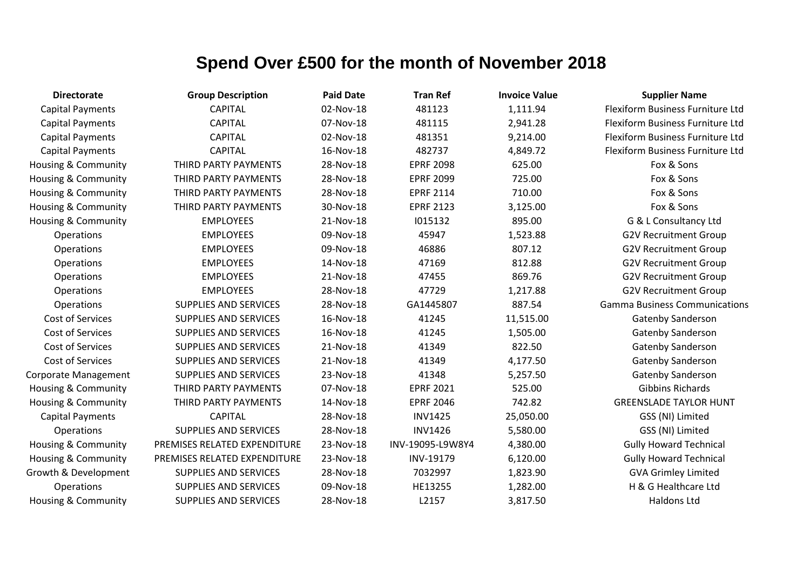| <b>Directorate</b>             | <b>Group Description</b>     | <b>Paid Date</b> | <b>Tran Ref</b>  | <b>Invoice Value</b> | <b>Supplier Name</b>                 |
|--------------------------------|------------------------------|------------------|------------------|----------------------|--------------------------------------|
| <b>Capital Payments</b>        | <b>CAPITAL</b>               | 02-Nov-18        | 481123           | 1,111.94             | Flexiform Business Furniture Ltd     |
| <b>Capital Payments</b>        | <b>CAPITAL</b>               | 07-Nov-18        | 481115           | 2,941.28             | Flexiform Business Furniture Ltd     |
| <b>Capital Payments</b>        | <b>CAPITAL</b>               | 02-Nov-18        | 481351           | 9,214.00             | Flexiform Business Furniture Ltd     |
| <b>Capital Payments</b>        | <b>CAPITAL</b>               | 16-Nov-18        | 482737           | 4,849.72             | Flexiform Business Furniture Ltd     |
| <b>Housing &amp; Community</b> | THIRD PARTY PAYMENTS         | 28-Nov-18        | <b>EPRF 2098</b> | 625.00               | Fox & Sons                           |
| Housing & Community            | THIRD PARTY PAYMENTS         | 28-Nov-18        | <b>EPRF 2099</b> | 725.00               | Fox & Sons                           |
| Housing & Community            | THIRD PARTY PAYMENTS         | 28-Nov-18        | <b>EPRF 2114</b> | 710.00               | Fox & Sons                           |
| Housing & Community            | THIRD PARTY PAYMENTS         | 30-Nov-18        | <b>EPRF 2123</b> | 3,125.00             | Fox & Sons                           |
| Housing & Community            | <b>EMPLOYEES</b>             | 21-Nov-18        | 1015132          | 895.00               | G & L Consultancy Ltd                |
| Operations                     | <b>EMPLOYEES</b>             | 09-Nov-18        | 45947            | 1,523.88             | <b>G2V Recruitment Group</b>         |
| Operations                     | <b>EMPLOYEES</b>             | 09-Nov-18        | 46886            | 807.12               | <b>G2V Recruitment Group</b>         |
| Operations                     | <b>EMPLOYEES</b>             | 14-Nov-18        | 47169            | 812.88               | <b>G2V Recruitment Group</b>         |
| Operations                     | <b>EMPLOYEES</b>             | 21-Nov-18        | 47455            | 869.76               | <b>G2V Recruitment Group</b>         |
| <b>Operations</b>              | <b>EMPLOYEES</b>             | 28-Nov-18        | 47729            | 1,217.88             | <b>G2V Recruitment Group</b>         |
| Operations                     | SUPPLIES AND SERVICES        | 28-Nov-18        | GA1445807        | 887.54               | <b>Gamma Business Communications</b> |
| Cost of Services               | SUPPLIES AND SERVICES        | 16-Nov-18        | 41245            | 11,515.00            | <b>Gatenby Sanderson</b>             |
| Cost of Services               | SUPPLIES AND SERVICES        | 16-Nov-18        | 41245            | 1,505.00             | <b>Gatenby Sanderson</b>             |
| Cost of Services               | SUPPLIES AND SERVICES        | 21-Nov-18        | 41349            | 822.50               | Gatenby Sanderson                    |
| Cost of Services               | SUPPLIES AND SERVICES        | 21-Nov-18        | 41349            | 4,177.50             | Gatenby Sanderson                    |
| Corporate Management           | SUPPLIES AND SERVICES        | 23-Nov-18        | 41348            | 5,257.50             | Gatenby Sanderson                    |
| Housing & Community            | THIRD PARTY PAYMENTS         | 07-Nov-18        | <b>EPRF 2021</b> | 525.00               | <b>Gibbins Richards</b>              |
| <b>Housing &amp; Community</b> | THIRD PARTY PAYMENTS         | 14-Nov-18        | <b>EPRF 2046</b> | 742.82               | <b>GREENSLADE TAYLOR HUNT</b>        |
| <b>Capital Payments</b>        | <b>CAPITAL</b>               | 28-Nov-18        | <b>INV1425</b>   | 25,050.00            | GSS (NI) Limited                     |
| <b>Operations</b>              | SUPPLIES AND SERVICES        | 28-Nov-18        | <b>INV1426</b>   | 5,580.00             | GSS (NI) Limited                     |
| Housing & Community            | PREMISES RELATED EXPENDITURE | 23-Nov-18        | INV-19095-L9W8Y4 | 4,380.00             | <b>Gully Howard Technical</b>        |
| Housing & Community            | PREMISES RELATED EXPENDITURE | 23-Nov-18        | INV-19179        | 6,120.00             | <b>Gully Howard Technical</b>        |
| Growth & Development           | <b>SUPPLIES AND SERVICES</b> | 28-Nov-18        | 7032997          | 1,823.90             | <b>GVA Grimley Limited</b>           |
| <b>Operations</b>              | <b>SUPPLIES AND SERVICES</b> | 09-Nov-18        | HE13255          | 1,282.00             | H & G Healthcare Ltd                 |
| <b>Housing &amp; Community</b> | <b>SUPPLIES AND SERVICES</b> | 28-Nov-18        | L2157            | 3,817.50             | <b>Haldons Ltd</b>                   |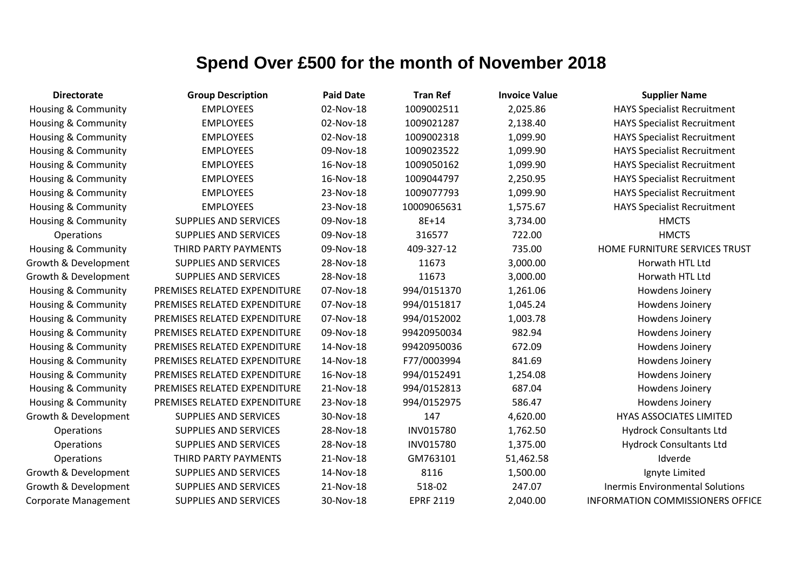| <b>Directorate</b>             | <b>Group Description</b>     | <b>Paid Date</b> | <b>Tran Ref</b>  | <b>Invoice Value</b> | <b>Supplier Name</b>                    |
|--------------------------------|------------------------------|------------------|------------------|----------------------|-----------------------------------------|
| Housing & Community            | <b>EMPLOYEES</b>             | 02-Nov-18        | 1009002511       | 2,025.86             | <b>HAYS Specialist Recruitment</b>      |
| <b>Housing &amp; Community</b> | <b>EMPLOYEES</b>             | 02-Nov-18        | 1009021287       | 2,138.40             | <b>HAYS Specialist Recruitment</b>      |
| Housing & Community            | <b>EMPLOYEES</b>             | 02-Nov-18        | 1009002318       | 1,099.90             | <b>HAYS Specialist Recruitment</b>      |
| Housing & Community            | <b>EMPLOYEES</b>             | 09-Nov-18        | 1009023522       | 1,099.90             | <b>HAYS Specialist Recruitment</b>      |
| <b>Housing &amp; Community</b> | <b>EMPLOYEES</b>             | 16-Nov-18        | 1009050162       | 1,099.90             | <b>HAYS Specialist Recruitment</b>      |
| Housing & Community            | <b>EMPLOYEES</b>             | 16-Nov-18        | 1009044797       | 2,250.95             | <b>HAYS Specialist Recruitment</b>      |
| Housing & Community            | <b>EMPLOYEES</b>             | 23-Nov-18        | 1009077793       | 1,099.90             | <b>HAYS Specialist Recruitment</b>      |
| <b>Housing &amp; Community</b> | <b>EMPLOYEES</b>             | 23-Nov-18        | 10009065631      | 1,575.67             | <b>HAYS Specialist Recruitment</b>      |
| <b>Housing &amp; Community</b> | <b>SUPPLIES AND SERVICES</b> | 09-Nov-18        | 8E+14            | 3,734.00             | <b>HMCTS</b>                            |
| Operations                     | <b>SUPPLIES AND SERVICES</b> | 09-Nov-18        | 316577           | 722.00               | <b>HMCTS</b>                            |
| Housing & Community            | THIRD PARTY PAYMENTS         | 09-Nov-18        | 409-327-12       | 735.00               | HOME FURNITURE SERVICES TRUST           |
| Growth & Development           | <b>SUPPLIES AND SERVICES</b> | 28-Nov-18        | 11673            | 3,000.00             | Horwath HTL Ltd                         |
| Growth & Development           | <b>SUPPLIES AND SERVICES</b> | 28-Nov-18        | 11673            | 3,000.00             | Horwath HTL Ltd                         |
| Housing & Community            | PREMISES RELATED EXPENDITURE | 07-Nov-18        | 994/0151370      | 1,261.06             | Howdens Joinery                         |
| Housing & Community            | PREMISES RELATED EXPENDITURE | 07-Nov-18        | 994/0151817      | 1,045.24             | Howdens Joinery                         |
| <b>Housing &amp; Community</b> | PREMISES RELATED EXPENDITURE | 07-Nov-18        | 994/0152002      | 1,003.78             | Howdens Joinery                         |
| <b>Housing &amp; Community</b> | PREMISES RELATED EXPENDITURE | 09-Nov-18        | 99420950034      | 982.94               | Howdens Joinery                         |
| Housing & Community            | PREMISES RELATED EXPENDITURE | 14-Nov-18        | 99420950036      | 672.09               | Howdens Joinery                         |
| Housing & Community            | PREMISES RELATED EXPENDITURE | 14-Nov-18        | F77/0003994      | 841.69               | Howdens Joinery                         |
| Housing & Community            | PREMISES RELATED EXPENDITURE | 16-Nov-18        | 994/0152491      | 1,254.08             | Howdens Joinery                         |
| Housing & Community            | PREMISES RELATED EXPENDITURE | 21-Nov-18        | 994/0152813      | 687.04               | Howdens Joinery                         |
| <b>Housing &amp; Community</b> | PREMISES RELATED EXPENDITURE | 23-Nov-18        | 994/0152975      | 586.47               | Howdens Joinery                         |
| Growth & Development           | SUPPLIES AND SERVICES        | 30-Nov-18        | 147              | 4,620.00             | <b>HYAS ASSOCIATES LIMITED</b>          |
| Operations                     | <b>SUPPLIES AND SERVICES</b> | 28-Nov-18        | <b>INV015780</b> | 1,762.50             | <b>Hydrock Consultants Ltd</b>          |
| Operations                     | <b>SUPPLIES AND SERVICES</b> | 28-Nov-18        | INV015780        | 1,375.00             | <b>Hydrock Consultants Ltd</b>          |
| Operations                     | THIRD PARTY PAYMENTS         | 21-Nov-18        | GM763101         | 51,462.58            | Idverde                                 |
| Growth & Development           | <b>SUPPLIES AND SERVICES</b> | 14-Nov-18        | 8116             | 1,500.00             | Ignyte Limited                          |
| Growth & Development           | <b>SUPPLIES AND SERVICES</b> | 21-Nov-18        | 518-02           | 247.07               | <b>Inermis Environmental Solutions</b>  |
| Corporate Management           | <b>SUPPLIES AND SERVICES</b> | 30-Nov-18        | <b>EPRF 2119</b> | 2,040.00             | <b>INFORMATION COMMISSIONERS OFFICE</b> |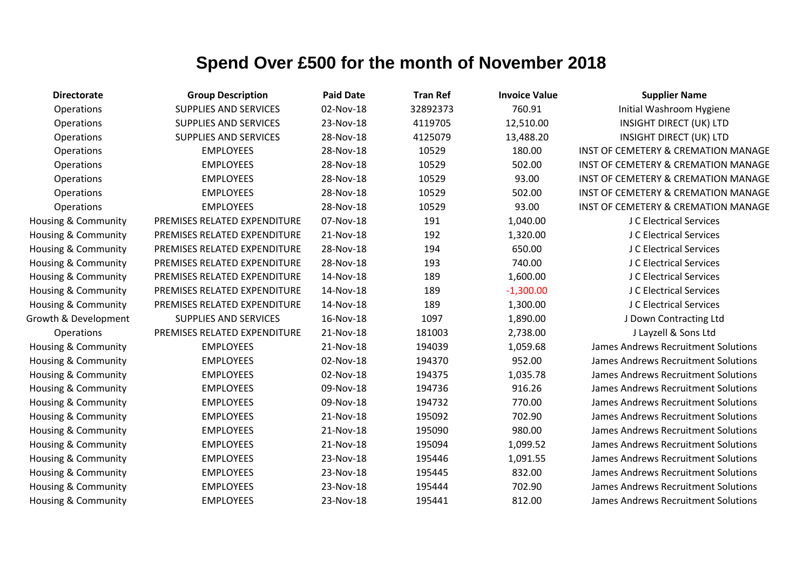| <b>Directorate</b>             | <b>Group Description</b>     | <b>Paid Date</b> | <b>Tran Ref</b> | <b>Invoice Value</b> | <b>Supplier Name</b>                           |
|--------------------------------|------------------------------|------------------|-----------------|----------------------|------------------------------------------------|
| Operations                     | <b>SUPPLIES AND SERVICES</b> | 02-Nov-18        | 32892373        | 760.91               | Initial Washroom Hygiene                       |
| Operations                     | <b>SUPPLIES AND SERVICES</b> | 23-Nov-18        | 4119705         | 12,510.00            | <b>INSIGHT DIRECT (UK) LTD</b>                 |
| Operations                     | <b>SUPPLIES AND SERVICES</b> | 28-Nov-18        | 4125079         | 13,488.20            | <b>INSIGHT DIRECT (UK) LTD</b>                 |
| Operations                     | <b>EMPLOYEES</b>             | 28-Nov-18        | 10529           | 180.00               | <b>INST OF CEMETERY &amp; CREMATION MANAGE</b> |
| Operations                     | <b>EMPLOYEES</b>             | 28-Nov-18        | 10529           | 502.00               | INST OF CEMETERY & CREMATION MANAGE            |
| Operations                     | <b>EMPLOYEES</b>             | 28-Nov-18        | 10529           | 93.00                | INST OF CEMETERY & CREMATION MANAGE            |
| Operations                     | <b>EMPLOYEES</b>             | 28-Nov-18        | 10529           | 502.00               | <b>INST OF CEMETERY &amp; CREMATION MANAGE</b> |
| Operations                     | <b>EMPLOYEES</b>             | 28-Nov-18        | 10529           | 93.00                | <b>INST OF CEMETERY &amp; CREMATION MANAGE</b> |
| Housing & Community            | PREMISES RELATED EXPENDITURE | 07-Nov-18        | 191             | 1,040.00             | J C Electrical Services                        |
| Housing & Community            | PREMISES RELATED EXPENDITURE | 21-Nov-18        | 192             | 1,320.00             | J C Electrical Services                        |
| Housing & Community            | PREMISES RELATED EXPENDITURE | 28-Nov-18        | 194             | 650.00               | J C Electrical Services                        |
| Housing & Community            | PREMISES RELATED EXPENDITURE | 28-Nov-18        | 193             | 740.00               | J C Electrical Services                        |
| Housing & Community            | PREMISES RELATED EXPENDITURE | 14-Nov-18        | 189             | 1,600.00             | J C Electrical Services                        |
| <b>Housing &amp; Community</b> | PREMISES RELATED EXPENDITURE | 14-Nov-18        | 189             | $-1,300.00$          | J C Electrical Services                        |
| Housing & Community            | PREMISES RELATED EXPENDITURE | 14-Nov-18        | 189             | 1,300.00             | J C Electrical Services                        |
| Growth & Development           | <b>SUPPLIES AND SERVICES</b> | 16-Nov-18        | 1097            | 1,890.00             | J Down Contracting Ltd                         |
| Operations                     | PREMISES RELATED EXPENDITURE | 21-Nov-18        | 181003          | 2,738.00             | J Layzell & Sons Ltd                           |
| Housing & Community            | <b>EMPLOYEES</b>             | 21-Nov-18        | 194039          | 1,059.68             | <b>James Andrews Recruitment Solutions</b>     |
| Housing & Community            | <b>EMPLOYEES</b>             | 02-Nov-18        | 194370          | 952.00               | James Andrews Recruitment Solutions            |
| Housing & Community            | <b>EMPLOYEES</b>             | 02-Nov-18        | 194375          | 1,035.78             | James Andrews Recruitment Solutions            |
| Housing & Community            | <b>EMPLOYEES</b>             | 09-Nov-18        | 194736          | 916.26               | James Andrews Recruitment Solutions            |
| Housing & Community            | <b>EMPLOYEES</b>             | 09-Nov-18        | 194732          | 770.00               | James Andrews Recruitment Solutions            |
| Housing & Community            | <b>EMPLOYEES</b>             | 21-Nov-18        | 195092          | 702.90               | <b>James Andrews Recruitment Solutions</b>     |
| Housing & Community            | <b>EMPLOYEES</b>             | 21-Nov-18        | 195090          | 980.00               | <b>James Andrews Recruitment Solutions</b>     |
| Housing & Community            | <b>EMPLOYEES</b>             | 21-Nov-18        | 195094          | 1,099.52             | <b>James Andrews Recruitment Solutions</b>     |
| Housing & Community            | <b>EMPLOYEES</b>             | 23-Nov-18        | 195446          | 1,091.55             | James Andrews Recruitment Solutions            |
| Housing & Community            | <b>EMPLOYEES</b>             | 23-Nov-18        | 195445          | 832.00               | James Andrews Recruitment Solutions            |
| Housing & Community            | <b>EMPLOYEES</b>             | 23-Nov-18        | 195444          | 702.90               | James Andrews Recruitment Solutions            |
| Housing & Community            | <b>EMPLOYEES</b>             | 23-Nov-18        | 195441          | 812.00               | <b>James Andrews Recruitment Solutions</b>     |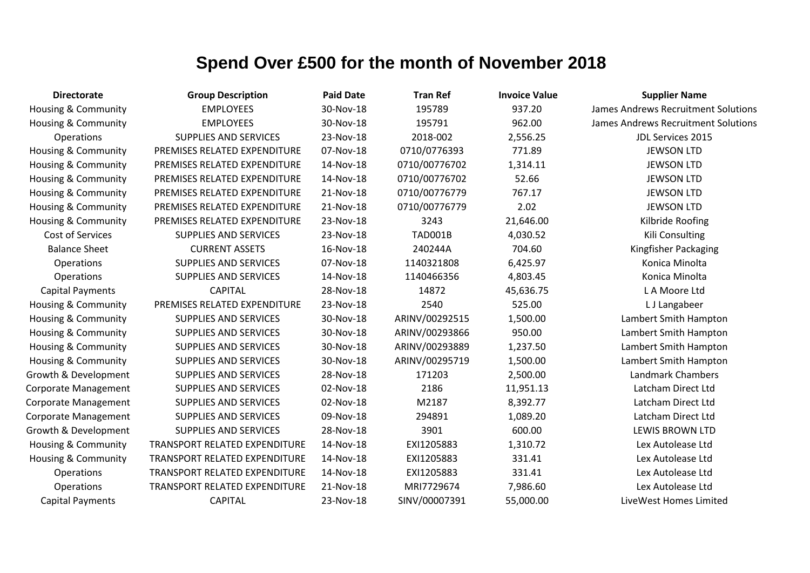| <b>Directorate</b>             | <b>Group Description</b>             | <b>Paid Date</b> | <b>Tran Ref</b> | <b>Invoice Value</b> | <b>Supplier Name</b>                       |
|--------------------------------|--------------------------------------|------------------|-----------------|----------------------|--------------------------------------------|
| <b>Housing &amp; Community</b> | <b>EMPLOYEES</b>                     | 30-Nov-18        | 195789          | 937.20               | James Andrews Recruitment Solutions        |
| Housing & Community            | <b>EMPLOYEES</b>                     | 30-Nov-18        | 195791          | 962.00               | <b>James Andrews Recruitment Solutions</b> |
| Operations                     | <b>SUPPLIES AND SERVICES</b>         | 23-Nov-18        | 2018-002        | 2,556.25             | JDL Services 2015                          |
| <b>Housing &amp; Community</b> | PREMISES RELATED EXPENDITURE         | 07-Nov-18        | 0710/0776393    | 771.89               | <b>JEWSON LTD</b>                          |
| Housing & Community            | PREMISES RELATED EXPENDITURE         | 14-Nov-18        | 0710/00776702   | 1,314.11             | <b>JEWSON LTD</b>                          |
| Housing & Community            | PREMISES RELATED EXPENDITURE         | 14-Nov-18        | 0710/00776702   | 52.66                | <b>JEWSON LTD</b>                          |
| Housing & Community            | PREMISES RELATED EXPENDITURE         | 21-Nov-18        | 0710/00776779   | 767.17               | <b>JEWSON LTD</b>                          |
| Housing & Community            | PREMISES RELATED EXPENDITURE         | 21-Nov-18        | 0710/00776779   | 2.02                 | <b>JEWSON LTD</b>                          |
| <b>Housing &amp; Community</b> | PREMISES RELATED EXPENDITURE         | 23-Nov-18        | 3243            | 21,646.00            | Kilbride Roofing                           |
| Cost of Services               | <b>SUPPLIES AND SERVICES</b>         | 23-Nov-18        | <b>TAD001B</b>  | 4,030.52             | Kili Consulting                            |
| <b>Balance Sheet</b>           | <b>CURRENT ASSETS</b>                | 16-Nov-18        | 240244A         | 704.60               | Kingfisher Packaging                       |
| Operations                     | <b>SUPPLIES AND SERVICES</b>         | 07-Nov-18        | 1140321808      | 6,425.97             | Konica Minolta                             |
| Operations                     | <b>SUPPLIES AND SERVICES</b>         | 14-Nov-18        | 1140466356      | 4,803.45             | Konica Minolta                             |
| <b>Capital Payments</b>        | <b>CAPITAL</b>                       | 28-Nov-18        | 14872           | 45,636.75            | L A Moore Ltd                              |
| <b>Housing &amp; Community</b> | PREMISES RELATED EXPENDITURE         | 23-Nov-18        | 2540            | 525.00               | L J Langabeer                              |
| Housing & Community            | <b>SUPPLIES AND SERVICES</b>         | 30-Nov-18        | ARINV/00292515  | 1,500.00             | Lambert Smith Hampton                      |
| <b>Housing &amp; Community</b> | <b>SUPPLIES AND SERVICES</b>         | 30-Nov-18        | ARINV/00293866  | 950.00               | Lambert Smith Hampton                      |
| Housing & Community            | <b>SUPPLIES AND SERVICES</b>         | 30-Nov-18        | ARINV/00293889  | 1,237.50             | Lambert Smith Hampton                      |
| Housing & Community            | <b>SUPPLIES AND SERVICES</b>         | 30-Nov-18        | ARINV/00295719  | 1,500.00             | Lambert Smith Hampton                      |
| Growth & Development           | <b>SUPPLIES AND SERVICES</b>         | 28-Nov-18        | 171203          | 2,500.00             | Landmark Chambers                          |
| <b>Corporate Management</b>    | <b>SUPPLIES AND SERVICES</b>         | 02-Nov-18        | 2186            | 11,951.13            | Latcham Direct Ltd                         |
| <b>Corporate Management</b>    | <b>SUPPLIES AND SERVICES</b>         | 02-Nov-18        | M2187           | 8,392.77             | Latcham Direct Ltd                         |
| <b>Corporate Management</b>    | <b>SUPPLIES AND SERVICES</b>         | 09-Nov-18        | 294891          | 1,089.20             | Latcham Direct Ltd                         |
| Growth & Development           | <b>SUPPLIES AND SERVICES</b>         | 28-Nov-18        | 3901            | 600.00               | <b>LEWIS BROWN LTD</b>                     |
| Housing & Community            | <b>TRANSPORT RELATED EXPENDITURE</b> | 14-Nov-18        | EXI1205883      | 1,310.72             | Lex Autolease Ltd                          |
| Housing & Community            | TRANSPORT RELATED EXPENDITURE        | 14-Nov-18        | EXI1205883      | 331.41               | Lex Autolease Ltd                          |
| Operations                     | TRANSPORT RELATED EXPENDITURE        | 14-Nov-18        | EXI1205883      | 331.41               | Lex Autolease Ltd                          |
| Operations                     | TRANSPORT RELATED EXPENDITURE        | 21-Nov-18        | MRI7729674      | 7,986.60             | Lex Autolease Ltd                          |
| <b>Capital Payments</b>        | <b>CAPITAL</b>                       | 23-Nov-18        | SINV/00007391   | 55,000.00            | LiveWest Homes Limited                     |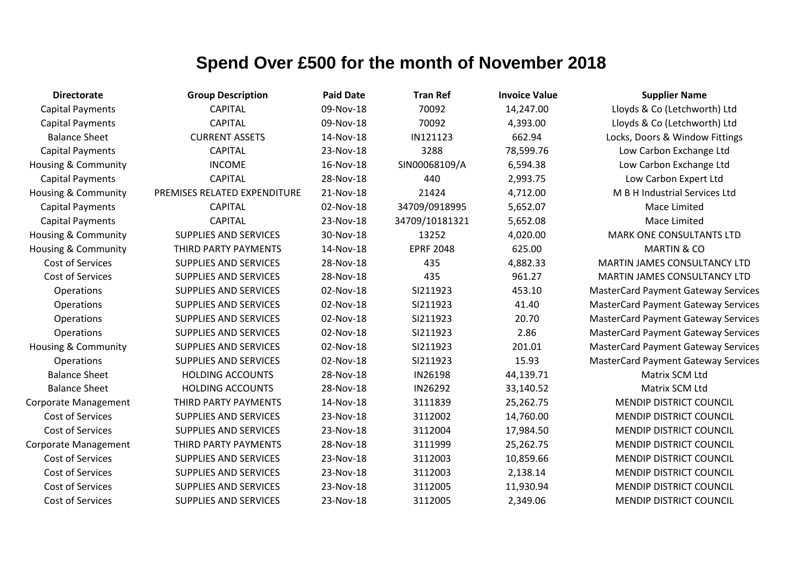| Directorate             |               |
|-------------------------|---------------|
| <b>Capital Payments</b> |               |
| Capital Payments        |               |
| <b>Balance Sheet</b>    |               |
| <b>Capital Payments</b> |               |
| Housing & Community     |               |
| Capital Payments        |               |
| Housing & Community     | <b>PREMIS</b> |
| <b>Capital Payments</b> |               |
| Capital Payments        |               |
| Housing & Community     | SU            |
| Housing & Community     | <b>THI</b>    |
| Cost of Services        | SU            |
| <b>Cost of Services</b> | SU            |
| Operations              | SU            |
| Operations              | SU            |
| Operations              | SU            |
| Operations              | SU            |
| Housing & Community     | SU            |
| Operations              | SU            |
| <b>Balance Sheet</b>    | Н             |
| <b>Balance Sheet</b>    | Н             |
| Corporate Management    | <b>THI</b>    |
| <b>Cost of Services</b> | SU            |
| <b>Cost of Services</b> | SU            |
| Corporate Management    | <b>THI</b>    |
| <b>Cost of Services</b> | SU            |
| <b>Cost of Services</b> | SU            |
| <b>Cost of Services</b> | SU            |
| Cost of Services        | SU            |

| <b>Directorate</b>             | <b>Group Description</b>     | <b>Paid Date</b> | <b>Tran Ref</b>  | <b>Invoice Value</b> | <b>Supplier Name</b>                       |
|--------------------------------|------------------------------|------------------|------------------|----------------------|--------------------------------------------|
| <b>Capital Payments</b>        | <b>CAPITAL</b>               | 09-Nov-18        | 70092            | 14,247.00            | Lloyds & Co (Letchworth) Ltd               |
| <b>Capital Payments</b>        | <b>CAPITAL</b>               | 09-Nov-18        | 70092            | 4,393.00             | Lloyds & Co (Letchworth) Ltd               |
| <b>Balance Sheet</b>           | <b>CURRENT ASSETS</b>        | 14-Nov-18        | IN121123         | 662.94               | Locks, Doors & Window Fittings             |
| <b>Capital Payments</b>        | <b>CAPITAL</b>               | 23-Nov-18        | 3288             | 78,599.76            | Low Carbon Exchange Ltd                    |
| Housing & Community            | <b>INCOME</b>                | 16-Nov-18        | SIN00068109/A    | 6,594.38             | Low Carbon Exchange Ltd                    |
| <b>Capital Payments</b>        | <b>CAPITAL</b>               | 28-Nov-18        | 440              | 2,993.75             | Low Carbon Expert Ltd                      |
| <b>Housing &amp; Community</b> | PREMISES RELATED EXPENDITURE | 21-Nov-18        | 21424            | 4,712.00             | M B H Industrial Services Ltd              |
| <b>Capital Payments</b>        | <b>CAPITAL</b>               | 02-Nov-18        | 34709/0918995    | 5,652.07             | Mace Limited                               |
| <b>Capital Payments</b>        | <b>CAPITAL</b>               | 23-Nov-18        | 34709/10181321   | 5,652.08             | Mace Limited                               |
| Housing & Community            | <b>SUPPLIES AND SERVICES</b> | 30-Nov-18        | 13252            | 4,020.00             | <b>MARK ONE CONSULTANTS LTD</b>            |
| Housing & Community            | THIRD PARTY PAYMENTS         | 14-Nov-18        | <b>EPRF 2048</b> | 625.00               | <b>MARTIN &amp; CO</b>                     |
| Cost of Services               | <b>SUPPLIES AND SERVICES</b> | 28-Nov-18        | 435              | 4,882.33             | MARTIN JAMES CONSULTANCY LTD               |
| Cost of Services               | <b>SUPPLIES AND SERVICES</b> | 28-Nov-18        | 435              | 961.27               | MARTIN JAMES CONSULTANCY LTD               |
| Operations                     | <b>SUPPLIES AND SERVICES</b> | 02-Nov-18        | SI211923         | 453.10               | <b>MasterCard Payment Gateway Services</b> |
| Operations                     | <b>SUPPLIES AND SERVICES</b> | 02-Nov-18        | SI211923         | 41.40                | <b>MasterCard Payment Gateway Services</b> |
| Operations                     | <b>SUPPLIES AND SERVICES</b> | 02-Nov-18        | SI211923         | 20.70                | <b>MasterCard Payment Gateway Services</b> |
| Operations                     | <b>SUPPLIES AND SERVICES</b> | 02-Nov-18        | SI211923         | 2.86                 | <b>MasterCard Payment Gateway Services</b> |
| <b>Housing &amp; Community</b> | <b>SUPPLIES AND SERVICES</b> | 02-Nov-18        | SI211923         | 201.01               | <b>MasterCard Payment Gateway Services</b> |
| Operations                     | <b>SUPPLIES AND SERVICES</b> | 02-Nov-18        | SI211923         | 15.93                | <b>MasterCard Payment Gateway Services</b> |
| <b>Balance Sheet</b>           | <b>HOLDING ACCOUNTS</b>      | 28-Nov-18        | IN26198          | 44,139.71            | Matrix SCM Ltd                             |
| <b>Balance Sheet</b>           | <b>HOLDING ACCOUNTS</b>      | 28-Nov-18        | IN26292          | 33,140.52            | Matrix SCM Ltd                             |
| Corporate Management           | THIRD PARTY PAYMENTS         | 14-Nov-18        | 3111839          | 25,262.75            | <b>MENDIP DISTRICT COUNCIL</b>             |
| Cost of Services               | <b>SUPPLIES AND SERVICES</b> | 23-Nov-18        | 3112002          | 14,760.00            | <b>MENDIP DISTRICT COUNCIL</b>             |
| <b>Cost of Services</b>        | <b>SUPPLIES AND SERVICES</b> | 23-Nov-18        | 3112004          | 17,984.50            | MENDIP DISTRICT COUNCIL                    |
| Corporate Management           | THIRD PARTY PAYMENTS         | 28-Nov-18        | 3111999          | 25,262.75            | <b>MENDIP DISTRICT COUNCIL</b>             |
| Cost of Services               | <b>SUPPLIES AND SERVICES</b> | 23-Nov-18        | 3112003          | 10,859.66            | <b>MENDIP DISTRICT COUNCIL</b>             |
| Cost of Services               | <b>SUPPLIES AND SERVICES</b> | 23-Nov-18        | 3112003          | 2,138.14             | <b>MENDIP DISTRICT COUNCIL</b>             |
| Cost of Services               | <b>SUPPLIES AND SERVICES</b> | 23-Nov-18        | 3112005          | 11,930.94            | <b>MENDIP DISTRICT COUNCIL</b>             |

| Tran Ref         | Inv            |
|------------------|----------------|
| 70092            | $1\prime$      |
| 70092            | 4              |
| IN121123         |                |
| 3288             | 78             |
| SIN00068109/A    | 6              |
| 440              | $\overline{2}$ |
| 21424            | 4              |
| 34709/0918995    | 5              |
| 34709/10181321   | 5              |
| 13252            | 4              |
| <b>EPRF 2048</b> |                |
| 435              | 4              |
| 435              |                |
| SI211923         |                |
| SI211923         |                |
| SI211923         |                |
| SI211923         |                |
| SI211923         |                |
| SI211923         |                |
| IN26198          | 44             |
| IN26292          | 3:             |
| 3111839          | 2!             |
| 3112002          | $1\prime$      |
| 3112004          | $\mathbf{1}$   |
| 3111999          | 2!             |
| 3112003          | 1(             |
| 3112003          | 2              |
| 3112005          | $1^{\circ}$    |
| 3112005          | $\overline{c}$ |

| <b>Group Description</b>    | <b>Paid Date</b> | <b>Tran Ref</b>  | <b>Invoice Value</b> | <b>Supplier Name</b>                 |
|-----------------------------|------------------|------------------|----------------------|--------------------------------------|
| <b>CAPITAL</b>              | 09-Nov-18        | 70092            | 14,247.00            | Lloyds & Co (Letchworth) Ltc         |
| <b>CAPITAL</b>              | 09-Nov-18        | 70092            | 4,393.00             | Lloyds & Co (Letchworth) Ltc         |
| <b>CURRENT ASSETS</b>       | 14-Nov-18        | IN121123         | 662.94               | Locks, Doors & Window Fitting        |
| <b>CAPITAL</b>              | 23-Nov-18        | 3288             | 78,599.76            | Low Carbon Exchange Ltd              |
| <b>INCOME</b>               | 16-Nov-18        | SIN00068109/A    | 6,594.38             | Low Carbon Exchange Ltd              |
| <b>CAPITAL</b>              | 28-Nov-18        | 440              | 2,993.75             | Low Carbon Expert Ltd                |
| SES RELATED EXPENDITURE     | 21-Nov-18        | 21424            | 4,712.00             | M B H Industrial Services Ltd        |
| <b>CAPITAL</b>              | 02-Nov-18        | 34709/0918995    | 5,652.07             | Mace Limited                         |
| <b>CAPITAL</b>              | 23-Nov-18        | 34709/10181321   | 5,652.08             | Mace Limited                         |
| <b>JPPLIES AND SERVICES</b> | 30-Nov-18        | 13252            | 4,020.00             | <b>MARK ONE CONSULTANTS LT</b>       |
| <b>IIRD PARTY PAYMENTS</b>  | 14-Nov-18        | <b>EPRF 2048</b> | 625.00               | <b>MARTIN &amp; CO</b>               |
| <b>JPPLIES AND SERVICES</b> | 28-Nov-18        | 435              | 4,882.33             | MARTIN JAMES CONSULTANCY             |
| <b>JPPLIES AND SERVICES</b> | 28-Nov-18        | 435              | 961.27               | MARTIN JAMES CONSULTANCY             |
| <b>JPPLIES AND SERVICES</b> | 02-Nov-18        | SI211923         | 453.10               | <b>MasterCard Payment Gateway Se</b> |
| <b>JPPLIES AND SERVICES</b> | 02-Nov-18        | SI211923         | 41.40                | MasterCard Payment Gateway Se        |
| <b>JPPLIES AND SERVICES</b> | 02-Nov-18        | SI211923         | 20.70                | MasterCard Payment Gateway Se        |
| <b>JPPLIES AND SERVICES</b> | 02-Nov-18        | SI211923         | 2.86                 | MasterCard Payment Gateway Se        |
| <b>JPPLIES AND SERVICES</b> | 02-Nov-18        | SI211923         | 201.01               | MasterCard Payment Gateway Se        |
| <b>JPPLIES AND SERVICES</b> | 02-Nov-18        | SI211923         | 15.93                | MasterCard Payment Gateway Se        |
| <b>HOLDING ACCOUNTS</b>     | 28-Nov-18        | IN26198          | 44,139.71            | Matrix SCM Ltd                       |
| <b>HOLDING ACCOUNTS</b>     | 28-Nov-18        | IN26292          | 33,140.52            | Matrix SCM Ltd                       |
| <b>IIRD PARTY PAYMENTS</b>  | 14-Nov-18        | 3111839          | 25,262.75            | MENDIP DISTRICT COUNCIL              |
| <b>JPPLIES AND SERVICES</b> | 23-Nov-18        | 3112002          | 14,760.00            | MENDIP DISTRICT COUNCIL              |
| <b>JPPLIES AND SERVICES</b> | 23-Nov-18        | 3112004          | 17,984.50            | MENDIP DISTRICT COUNCIL              |
| <b>IIRD PARTY PAYMENTS</b>  | 28-Nov-18        | 3111999          | 25,262.75            | MENDIP DISTRICT COUNCIL              |
| <b>JPPLIES AND SERVICES</b> | 23-Nov-18        | 3112003          | 10,859.66            | MENDIP DISTRICT COUNCIL              |
| <b>JPPLIES AND SERVICES</b> | 23-Nov-18        | 3112003          | 2,138.14             | MENDIP DISTRICT COUNCIL              |
| <b>JPPLIES AND SERVICES</b> | 23-Nov-18        | 3112005          | 11,930.94            | MENDIP DISTRICT COUNCIL              |
| <b>JPPLIES AND SERVICES</b> | 23-Nov-18        | 3112005          | 2,349.06             | MENDIP DISTRICT COUNCIL              |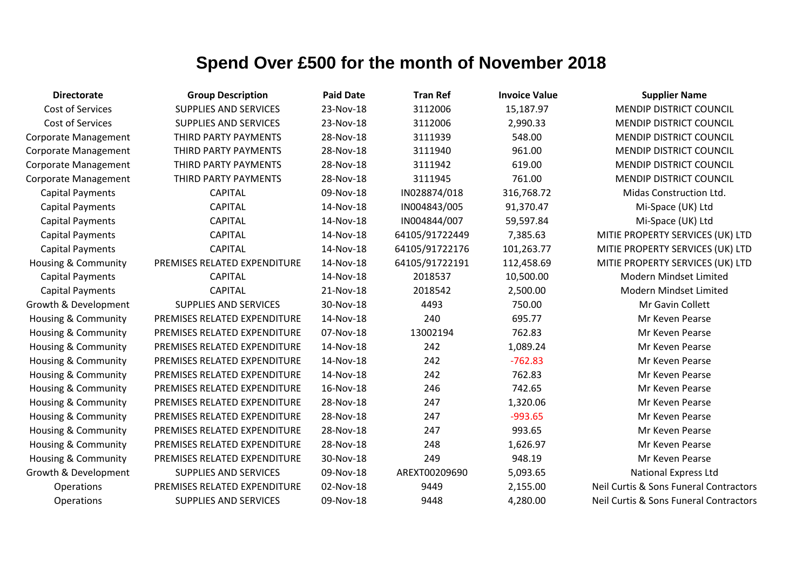| <b>Directorate</b>             | <b>Group Description</b>     | <b>Paid Date</b> | <b>Tran Ref</b> | <b>Invoice Value</b> | <b>Supplier Name</b>                   |
|--------------------------------|------------------------------|------------------|-----------------|----------------------|----------------------------------------|
| Cost of Services               | <b>SUPPLIES AND SERVICES</b> | 23-Nov-18        | 3112006         | 15,187.97            | MENDIP DISTRICT COUNCIL                |
| Cost of Services               | <b>SUPPLIES AND SERVICES</b> | 23-Nov-18        | 3112006         | 2,990.33             | MENDIP DISTRICT COUNCIL                |
| Corporate Management           | THIRD PARTY PAYMENTS         | 28-Nov-18        | 3111939         | 548.00               | MENDIP DISTRICT COUNCIL                |
| Corporate Management           | THIRD PARTY PAYMENTS         | 28-Nov-18        | 3111940         | 961.00               | MENDIP DISTRICT COUNCIL                |
| Corporate Management           | THIRD PARTY PAYMENTS         | 28-Nov-18        | 3111942         | 619.00               | <b>MENDIP DISTRICT COUNCIL</b>         |
| Corporate Management           | THIRD PARTY PAYMENTS         | 28-Nov-18        | 3111945         | 761.00               | MENDIP DISTRICT COUNCIL                |
| <b>Capital Payments</b>        | <b>CAPITAL</b>               | 09-Nov-18        | IN028874/018    | 316,768.72           | Midas Construction Ltd.                |
| <b>Capital Payments</b>        | <b>CAPITAL</b>               | 14-Nov-18        | IN004843/005    | 91,370.47            | Mi-Space (UK) Ltd                      |
| <b>Capital Payments</b>        | <b>CAPITAL</b>               | 14-Nov-18        | IN004844/007    | 59,597.84            | Mi-Space (UK) Ltd                      |
| <b>Capital Payments</b>        | <b>CAPITAL</b>               | 14-Nov-18        | 64105/91722449  | 7,385.63             | MITIE PROPERTY SERVICES (UK) LTD       |
| <b>Capital Payments</b>        | <b>CAPITAL</b>               | 14-Nov-18        | 64105/91722176  | 101,263.77           | MITIE PROPERTY SERVICES (UK) LTD       |
| Housing & Community            | PREMISES RELATED EXPENDITURE | 14-Nov-18        | 64105/91722191  | 112,458.69           | MITIE PROPERTY SERVICES (UK) LTD       |
| <b>Capital Payments</b>        | <b>CAPITAL</b>               | 14-Nov-18        | 2018537         | 10,500.00            | Modern Mindset Limited                 |
| <b>Capital Payments</b>        | <b>CAPITAL</b>               | 21-Nov-18        | 2018542         | 2,500.00             | Modern Mindset Limited                 |
| Growth & Development           | <b>SUPPLIES AND SERVICES</b> | 30-Nov-18        | 4493            | 750.00               | Mr Gavin Collett                       |
| Housing & Community            | PREMISES RELATED EXPENDITURE | 14-Nov-18        | 240             | 695.77               | Mr Keven Pearse                        |
| <b>Housing &amp; Community</b> | PREMISES RELATED EXPENDITURE | 07-Nov-18        | 13002194        | 762.83               | Mr Keven Pearse                        |
| <b>Housing &amp; Community</b> | PREMISES RELATED EXPENDITURE | 14-Nov-18        | 242             | 1,089.24             | Mr Keven Pearse                        |
| <b>Housing &amp; Community</b> | PREMISES RELATED EXPENDITURE | 14-Nov-18        | 242             | $-762.83$            | Mr Keven Pearse                        |
| <b>Housing &amp; Community</b> | PREMISES RELATED EXPENDITURE | 14-Nov-18        | 242             | 762.83               | Mr Keven Pearse                        |
| Housing & Community            | PREMISES RELATED EXPENDITURE | 16-Nov-18        | 246             | 742.65               | Mr Keven Pearse                        |
| <b>Housing &amp; Community</b> | PREMISES RELATED EXPENDITURE | 28-Nov-18        | 247             | 1,320.06             | Mr Keven Pearse                        |
| <b>Housing &amp; Community</b> | PREMISES RELATED EXPENDITURE | 28-Nov-18        | 247             | $-993.65$            | Mr Keven Pearse                        |
| <b>Housing &amp; Community</b> | PREMISES RELATED EXPENDITURE | 28-Nov-18        | 247             | 993.65               | Mr Keven Pearse                        |
| Housing & Community            | PREMISES RELATED EXPENDITURE | 28-Nov-18        | 248             | 1,626.97             | Mr Keven Pearse                        |
| <b>Housing &amp; Community</b> | PREMISES RELATED EXPENDITURE | 30-Nov-18        | 249             | 948.19               | Mr Keven Pearse                        |
| Growth & Development           | <b>SUPPLIES AND SERVICES</b> | 09-Nov-18        | AREXT00209690   | 5,093.65             | <b>National Express Ltd</b>            |
| Operations                     | PREMISES RELATED EXPENDITURE | 02-Nov-18        | 9449            | 2,155.00             | Neil Curtis & Sons Funeral Contractors |
| Operations                     | <b>SUPPLIES AND SERVICES</b> | 09-Nov-18        | 9448            | 4,280.00             | Neil Curtis & Sons Funeral Contractors |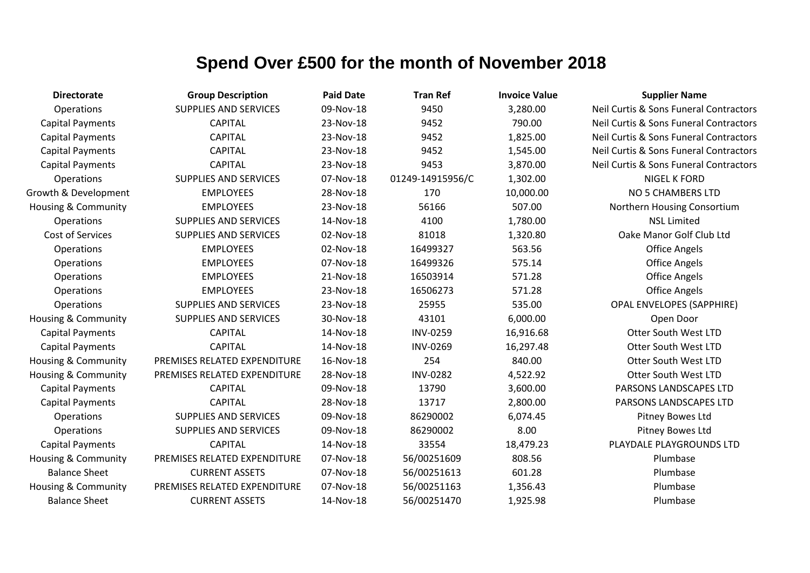| <b>Directorate</b>             | <b>Group Description</b>     | <b>Paid Date</b> | <b>Tran Ref</b>  | <b>Invoice Value</b> | <b>Supplier Name</b>                   |
|--------------------------------|------------------------------|------------------|------------------|----------------------|----------------------------------------|
| Operations                     | <b>SUPPLIES AND SERVICES</b> | 09-Nov-18        | 9450             | 3,280.00             | Neil Curtis & Sons Funeral Contractors |
| <b>Capital Payments</b>        | <b>CAPITAL</b>               | 23-Nov-18        | 9452             | 790.00               | Neil Curtis & Sons Funeral Contractors |
| <b>Capital Payments</b>        | <b>CAPITAL</b>               | 23-Nov-18        | 9452             | 1,825.00             | Neil Curtis & Sons Funeral Contractors |
| <b>Capital Payments</b>        | <b>CAPITAL</b>               | 23-Nov-18        | 9452             | 1,545.00             | Neil Curtis & Sons Funeral Contractors |
| <b>Capital Payments</b>        | <b>CAPITAL</b>               | 23-Nov-18        | 9453             | 3,870.00             | Neil Curtis & Sons Funeral Contractors |
| Operations                     | <b>SUPPLIES AND SERVICES</b> | 07-Nov-18        | 01249-14915956/C | 1,302.00             | <b>NIGEL K FORD</b>                    |
| Growth & Development           | <b>EMPLOYEES</b>             | 28-Nov-18        | 170              | 10,000.00            | NO 5 CHAMBERS LTD                      |
| <b>Housing &amp; Community</b> | <b>EMPLOYEES</b>             | 23-Nov-18        | 56166            | 507.00               | Northern Housing Consortium            |
| Operations                     | <b>SUPPLIES AND SERVICES</b> | 14-Nov-18        | 4100             | 1,780.00             | <b>NSL Limited</b>                     |
| <b>Cost of Services</b>        | <b>SUPPLIES AND SERVICES</b> | 02-Nov-18        | 81018            | 1,320.80             | Oake Manor Golf Club Ltd               |
| Operations                     | <b>EMPLOYEES</b>             | 02-Nov-18        | 16499327         | 563.56               | <b>Office Angels</b>                   |
| Operations                     | <b>EMPLOYEES</b>             | 07-Nov-18        | 16499326         | 575.14               | <b>Office Angels</b>                   |
| Operations                     | <b>EMPLOYEES</b>             | 21-Nov-18        | 16503914         | 571.28               | <b>Office Angels</b>                   |
| Operations                     | <b>EMPLOYEES</b>             | 23-Nov-18        | 16506273         | 571.28               | <b>Office Angels</b>                   |
| Operations                     | <b>SUPPLIES AND SERVICES</b> | 23-Nov-18        | 25955            | 535.00               | <b>OPAL ENVELOPES (SAPPHIRE)</b>       |
| Housing & Community            | <b>SUPPLIES AND SERVICES</b> | 30-Nov-18        | 43101            | 6,000.00             | Open Door                              |
| <b>Capital Payments</b>        | <b>CAPITAL</b>               | 14-Nov-18        | <b>INV-0259</b>  | 16,916.68            | Otter South West LTD                   |
| <b>Capital Payments</b>        | <b>CAPITAL</b>               | 14-Nov-18        | <b>INV-0269</b>  | 16,297.48            | Otter South West LTD                   |
| Housing & Community            | PREMISES RELATED EXPENDITURE | 16-Nov-18        | 254              | 840.00               | Otter South West LTD                   |
| Housing & Community            | PREMISES RELATED EXPENDITURE | 28-Nov-18        | <b>INV-0282</b>  | 4,522.92             | Otter South West LTD                   |
| <b>Capital Payments</b>        | <b>CAPITAL</b>               | 09-Nov-18        | 13790            | 3,600.00             | PARSONS LANDSCAPES LTD                 |
| <b>Capital Payments</b>        | <b>CAPITAL</b>               | 28-Nov-18        | 13717            | 2,800.00             | PARSONS LANDSCAPES LTD                 |
| <b>Operations</b>              | <b>SUPPLIES AND SERVICES</b> | 09-Nov-18        | 86290002         | 6,074.45             | Pitney Bowes Ltd                       |
| Operations                     | <b>SUPPLIES AND SERVICES</b> | 09-Nov-18        | 86290002         | 8.00                 | Pitney Bowes Ltd                       |
| <b>Capital Payments</b>        | <b>CAPITAL</b>               | 14-Nov-18        | 33554            | 18,479.23            | PLAYDALE PLAYGROUNDS LTD               |
| Housing & Community            | PREMISES RELATED EXPENDITURE | 07-Nov-18        | 56/00251609      | 808.56               | Plumbase                               |
| <b>Balance Sheet</b>           | <b>CURRENT ASSETS</b>        | 07-Nov-18        | 56/00251613      | 601.28               | Plumbase                               |
| Housing & Community            | PREMISES RELATED EXPENDITURE | 07-Nov-18        | 56/00251163      | 1,356.43             | Plumbase                               |
| <b>Balance Sheet</b>           | <b>CURRENT ASSETS</b>        | 14-Nov-18        | 56/00251470      | 1,925.98             | Plumbase                               |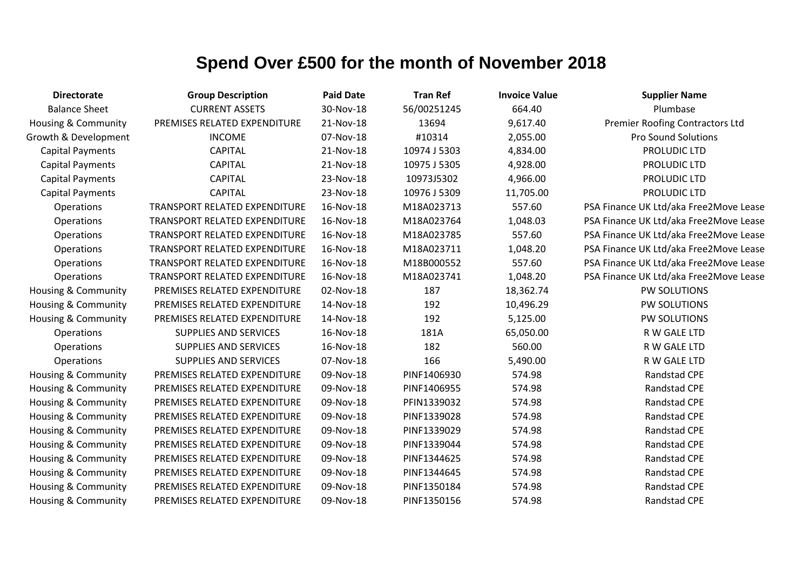| <b>Directorate</b>             | <b>Group Description</b>      | <b>Paid Date</b> | <b>Tran Ref</b> | <b>Invoice Value</b> | <b>Supplier Name</b>                   |
|--------------------------------|-------------------------------|------------------|-----------------|----------------------|----------------------------------------|
| <b>Balance Sheet</b>           | <b>CURRENT ASSETS</b>         | 30-Nov-18        | 56/00251245     | 664.40               | Plumbase                               |
| Housing & Community            | PREMISES RELATED EXPENDITURE  | 21-Nov-18        | 13694           | 9,617.40             | <b>Premier Roofing Contractors Ltd</b> |
| Growth & Development           | <b>INCOME</b>                 | 07-Nov-18        | #10314          | 2,055.00             | <b>Pro Sound Solutions</b>             |
| <b>Capital Payments</b>        | <b>CAPITAL</b>                | 21-Nov-18        | 10974 J 5303    | 4,834.00             | PROLUDIC LTD                           |
| <b>Capital Payments</b>        | <b>CAPITAL</b>                | 21-Nov-18        | 10975 J 5305    | 4,928.00             | PROLUDIC LTD                           |
| <b>Capital Payments</b>        | <b>CAPITAL</b>                | 23-Nov-18        | 10973J5302      | 4,966.00             | PROLUDIC LTD                           |
| <b>Capital Payments</b>        | <b>CAPITAL</b>                | 23-Nov-18        | 10976 J 5309    | 11,705.00            | PROLUDIC LTD                           |
| Operations                     | TRANSPORT RELATED EXPENDITURE | 16-Nov-18        | M18A023713      | 557.60               | PSA Finance UK Ltd/aka Free2Move Lease |
| Operations                     | TRANSPORT RELATED EXPENDITURE | 16-Nov-18        | M18A023764      | 1,048.03             | PSA Finance UK Ltd/aka Free2Move Lease |
| Operations                     | TRANSPORT RELATED EXPENDITURE | 16-Nov-18        | M18A023785      | 557.60               | PSA Finance UK Ltd/aka Free2Move Lease |
| Operations                     | TRANSPORT RELATED EXPENDITURE | 16-Nov-18        | M18A023711      | 1,048.20             | PSA Finance UK Ltd/aka Free2Move Lease |
| Operations                     | TRANSPORT RELATED EXPENDITURE | 16-Nov-18        | M18B000552      | 557.60               | PSA Finance UK Ltd/aka Free2Move Lease |
| Operations                     | TRANSPORT RELATED EXPENDITURE | 16-Nov-18        | M18A023741      | 1,048.20             | PSA Finance UK Ltd/aka Free2Move Lease |
| Housing & Community            | PREMISES RELATED EXPENDITURE  | 02-Nov-18        | 187             | 18,362.74            | PW SOLUTIONS                           |
| <b>Housing &amp; Community</b> | PREMISES RELATED EXPENDITURE  | 14-Nov-18        | 192             | 10,496.29            | <b>PW SOLUTIONS</b>                    |
| Housing & Community            | PREMISES RELATED EXPENDITURE  | 14-Nov-18        | 192             | 5,125.00             | PW SOLUTIONS                           |
| Operations                     | <b>SUPPLIES AND SERVICES</b>  | 16-Nov-18        | 181A            | 65,050.00            | R W GALE LTD                           |
| Operations                     | <b>SUPPLIES AND SERVICES</b>  | 16-Nov-18        | 182             | 560.00               | R W GALE LTD                           |
| Operations                     | <b>SUPPLIES AND SERVICES</b>  | 07-Nov-18        | 166             | 5,490.00             | R W GALE LTD                           |
| Housing & Community            | PREMISES RELATED EXPENDITURE  | 09-Nov-18        | PINF1406930     | 574.98               | Randstad CPE                           |
| Housing & Community            | PREMISES RELATED EXPENDITURE  | 09-Nov-18        | PINF1406955     | 574.98               | Randstad CPE                           |
| Housing & Community            | PREMISES RELATED EXPENDITURE  | 09-Nov-18        | PFIN1339032     | 574.98               | Randstad CPE                           |
| Housing & Community            | PREMISES RELATED EXPENDITURE  | 09-Nov-18        | PINF1339028     | 574.98               | Randstad CPE                           |
| Housing & Community            | PREMISES RELATED EXPENDITURE  | 09-Nov-18        | PINF1339029     | 574.98               | Randstad CPE                           |
| Housing & Community            | PREMISES RELATED EXPENDITURE  | 09-Nov-18        | PINF1339044     | 574.98               | Randstad CPE                           |
| <b>Housing &amp; Community</b> | PREMISES RELATED EXPENDITURE  | 09-Nov-18        | PINF1344625     | 574.98               | Randstad CPE                           |
| Housing & Community            | PREMISES RELATED EXPENDITURE  | 09-Nov-18        | PINF1344645     | 574.98               | Randstad CPE                           |
| <b>Housing &amp; Community</b> | PREMISES RELATED EXPENDITURE  | 09-Nov-18        | PINF1350184     | 574.98               | Randstad CPE                           |
| <b>Housing &amp; Community</b> | PREMISES RELATED EXPENDITURE  | 09-Nov-18        | PINF1350156     | 574.98               | Randstad CPE                           |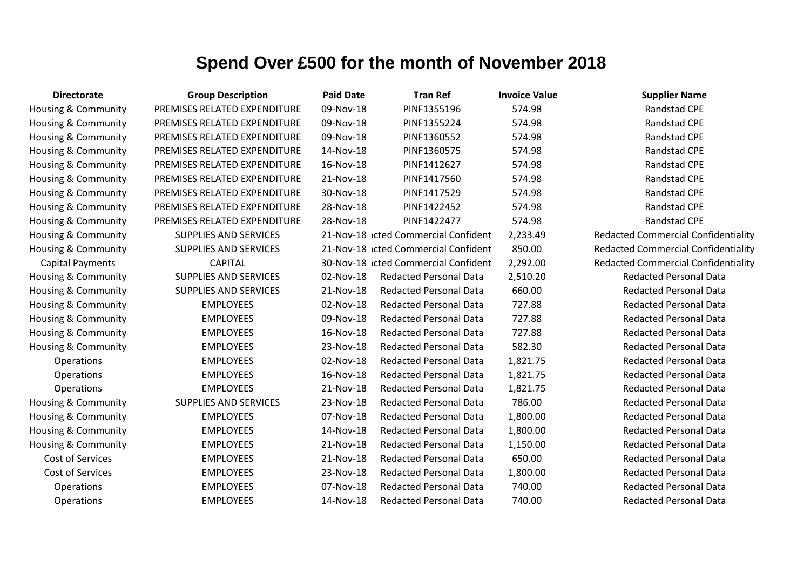| <b>Directorate</b>             | <b>Group Description</b>     | <b>Paid Date</b> | <b>Tran Ref</b>                      | <b>Invoice Value</b> | <b>Supplier Name</b>                       |
|--------------------------------|------------------------------|------------------|--------------------------------------|----------------------|--------------------------------------------|
| Housing & Community            | PREMISES RELATED EXPENDITURE | 09-Nov-18        | PINF1355196                          | 574.98               | Randstad CPE                               |
| Housing & Community            | PREMISES RELATED EXPENDITURE | 09-Nov-18        | PINF1355224                          | 574.98               | Randstad CPE                               |
| Housing & Community            | PREMISES RELATED EXPENDITURE | 09-Nov-18        | PINF1360552                          | 574.98               | <b>Randstad CPE</b>                        |
| Housing & Community            | PREMISES RELATED EXPENDITURE | 14-Nov-18        | PINF1360575                          | 574.98               | Randstad CPE                               |
| Housing & Community            | PREMISES RELATED EXPENDITURE | 16-Nov-18        | PINF1412627                          | 574.98               | Randstad CPE                               |
| <b>Housing &amp; Community</b> | PREMISES RELATED EXPENDITURE | 21-Nov-18        | PINF1417560                          | 574.98               | Randstad CPE                               |
| Housing & Community            | PREMISES RELATED EXPENDITURE | 30-Nov-18        | PINF1417529                          | 574.98               | Randstad CPE                               |
| Housing & Community            | PREMISES RELATED EXPENDITURE | 28-Nov-18        | PINF1422452                          | 574.98               | Randstad CPE                               |
| <b>Housing &amp; Community</b> | PREMISES RELATED EXPENDITURE | 28-Nov-18        | PINF1422477                          | 574.98               | <b>Randstad CPE</b>                        |
| Housing & Community            | <b>SUPPLIES AND SERVICES</b> |                  | 21-Nov-18 icted Commercial Confident | 2,233.49             | <b>Redacted Commercial Confidentiality</b> |
| Housing & Community            | <b>SUPPLIES AND SERVICES</b> |                  | 21-Nov-18 icted Commercial Confident | 850.00               | <b>Redacted Commercial Confidentiality</b> |
| <b>Capital Payments</b>        | <b>CAPITAL</b>               |                  | 30-Nov-18 icted Commercial Confident | 2,292.00             | <b>Redacted Commercial Confidentiality</b> |
| <b>Housing &amp; Community</b> | <b>SUPPLIES AND SERVICES</b> | 02-Nov-18        | <b>Redacted Personal Data</b>        | 2,510.20             | <b>Redacted Personal Data</b>              |
| Housing & Community            | <b>SUPPLIES AND SERVICES</b> | 21-Nov-18        | <b>Redacted Personal Data</b>        | 660.00               | <b>Redacted Personal Data</b>              |
| Housing & Community            | <b>EMPLOYEES</b>             | 02-Nov-18        | <b>Redacted Personal Data</b>        | 727.88               | <b>Redacted Personal Data</b>              |
| Housing & Community            | <b>EMPLOYEES</b>             | 09-Nov-18        | <b>Redacted Personal Data</b>        | 727.88               | <b>Redacted Personal Data</b>              |
| <b>Housing &amp; Community</b> | <b>EMPLOYEES</b>             | 16-Nov-18        | <b>Redacted Personal Data</b>        | 727.88               | <b>Redacted Personal Data</b>              |
| Housing & Community            | <b>EMPLOYEES</b>             | 23-Nov-18        | <b>Redacted Personal Data</b>        | 582.30               | <b>Redacted Personal Data</b>              |
| Operations                     | <b>EMPLOYEES</b>             | 02-Nov-18        | <b>Redacted Personal Data</b>        | 1,821.75             | <b>Redacted Personal Data</b>              |
| Operations                     | <b>EMPLOYEES</b>             | 16-Nov-18        | <b>Redacted Personal Data</b>        | 1,821.75             | <b>Redacted Personal Data</b>              |
| Operations                     | <b>EMPLOYEES</b>             | 21-Nov-18        | <b>Redacted Personal Data</b>        | 1,821.75             | <b>Redacted Personal Data</b>              |
| Housing & Community            | SUPPLIES AND SERVICES        | 23-Nov-18        | <b>Redacted Personal Data</b>        | 786.00               | <b>Redacted Personal Data</b>              |
| Housing & Community            | <b>EMPLOYEES</b>             | 07-Nov-18        | <b>Redacted Personal Data</b>        | 1,800.00             | <b>Redacted Personal Data</b>              |
| Housing & Community            | <b>EMPLOYEES</b>             | 14-Nov-18        | <b>Redacted Personal Data</b>        | 1,800.00             | <b>Redacted Personal Data</b>              |
| Housing & Community            | <b>EMPLOYEES</b>             | 21-Nov-18        | <b>Redacted Personal Data</b>        | 1,150.00             | <b>Redacted Personal Data</b>              |
| Cost of Services               | <b>EMPLOYEES</b>             | 21-Nov-18        | <b>Redacted Personal Data</b>        | 650.00               | <b>Redacted Personal Data</b>              |
| Cost of Services               | <b>EMPLOYEES</b>             | 23-Nov-18        | <b>Redacted Personal Data</b>        | 1,800.00             | <b>Redacted Personal Data</b>              |
| Operations                     | <b>EMPLOYEES</b>             | 07-Nov-18        | <b>Redacted Personal Data</b>        | 740.00               | <b>Redacted Personal Data</b>              |
| Operations                     | <b>EMPLOYEES</b>             | 14-Nov-18        | <b>Redacted Personal Data</b>        | 740.00               | <b>Redacted Personal Data</b>              |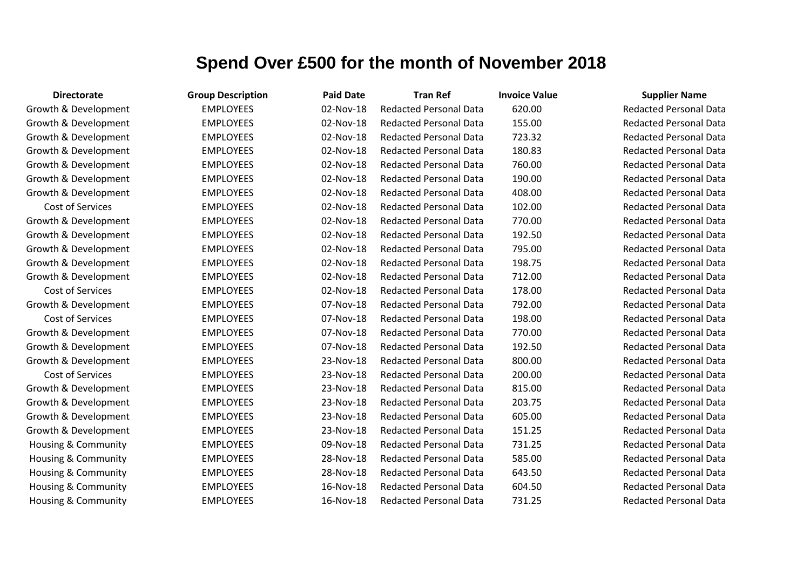| <b>Directorate</b>   | <b>Group Description</b> | <b>Paid Date</b> | <b>Tran Ref</b>               | <b>Invoice Value</b> | <b>Supplier Name</b>          |
|----------------------|--------------------------|------------------|-------------------------------|----------------------|-------------------------------|
| Growth & Development | <b>EMPLOYEES</b>         | 02-Nov-18        | <b>Redacted Personal Data</b> | 620.00               | <b>Redacted Personal Data</b> |
| Growth & Development | <b>EMPLOYEES</b>         | 02-Nov-18        | <b>Redacted Personal Data</b> | 155.00               | <b>Redacted Personal Data</b> |
| Growth & Development | <b>EMPLOYEES</b>         | 02-Nov-18        | <b>Redacted Personal Data</b> | 723.32               | <b>Redacted Personal Data</b> |
| Growth & Development | <b>EMPLOYEES</b>         | 02-Nov-18        | <b>Redacted Personal Data</b> | 180.83               | <b>Redacted Personal Data</b> |
| Growth & Development | <b>EMPLOYEES</b>         | 02-Nov-18        | <b>Redacted Personal Data</b> | 760.00               | <b>Redacted Personal Data</b> |
| Growth & Development | <b>EMPLOYEES</b>         | 02-Nov-18        | <b>Redacted Personal Data</b> | 190.00               | <b>Redacted Personal Data</b> |
| Growth & Development | <b>EMPLOYEES</b>         | 02-Nov-18        | <b>Redacted Personal Data</b> | 408.00               | <b>Redacted Personal Data</b> |
| Cost of Services     | <b>EMPLOYEES</b>         | 02-Nov-18        | <b>Redacted Personal Data</b> | 102.00               | <b>Redacted Personal Data</b> |
| Growth & Development | <b>EMPLOYEES</b>         | 02-Nov-18        | <b>Redacted Personal Data</b> | 770.00               | <b>Redacted Personal Data</b> |
| Growth & Development | <b>EMPLOYEES</b>         | 02-Nov-18        | <b>Redacted Personal Data</b> | 192.50               | <b>Redacted Personal Data</b> |
| Growth & Development | <b>EMPLOYEES</b>         | 02-Nov-18        | <b>Redacted Personal Data</b> | 795.00               | <b>Redacted Personal Data</b> |
| Growth & Development | <b>EMPLOYEES</b>         | 02-Nov-18        | <b>Redacted Personal Data</b> | 198.75               | <b>Redacted Personal Data</b> |
| Growth & Development | <b>EMPLOYEES</b>         | 02-Nov-18        | <b>Redacted Personal Data</b> | 712.00               | <b>Redacted Personal Data</b> |
| Cost of Services     | <b>EMPLOYEES</b>         | 02-Nov-18        | <b>Redacted Personal Data</b> | 178.00               | <b>Redacted Personal Data</b> |
| Growth & Development | <b>EMPLOYEES</b>         | 07-Nov-18        | <b>Redacted Personal Data</b> | 792.00               | <b>Redacted Personal Data</b> |
| Cost of Services     | <b>EMPLOYEES</b>         | 07-Nov-18        | <b>Redacted Personal Data</b> | 198.00               | <b>Redacted Personal Data</b> |
| Growth & Development | <b>EMPLOYEES</b>         | 07-Nov-18        | <b>Redacted Personal Data</b> | 770.00               | <b>Redacted Personal Data</b> |
| Growth & Development | <b>EMPLOYEES</b>         | 07-Nov-18        | <b>Redacted Personal Data</b> | 192.50               | <b>Redacted Personal Data</b> |
| Growth & Development | <b>EMPLOYEES</b>         | 23-Nov-18        | <b>Redacted Personal Data</b> | 800.00               | <b>Redacted Personal Data</b> |
| Cost of Services     | <b>EMPLOYEES</b>         | 23-Nov-18        | <b>Redacted Personal Data</b> | 200.00               | <b>Redacted Personal Data</b> |
| Growth & Development | <b>EMPLOYEES</b>         | 23-Nov-18        | <b>Redacted Personal Data</b> | 815.00               | <b>Redacted Personal Data</b> |
| Growth & Development | <b>EMPLOYEES</b>         | 23-Nov-18        | <b>Redacted Personal Data</b> | 203.75               | <b>Redacted Personal Data</b> |
| Growth & Development | <b>EMPLOYEES</b>         | 23-Nov-18        | <b>Redacted Personal Data</b> | 605.00               | <b>Redacted Personal Data</b> |
| Growth & Development | <b>EMPLOYEES</b>         | 23-Nov-18        | <b>Redacted Personal Data</b> | 151.25               | <b>Redacted Personal Data</b> |
| Housing & Community  | <b>EMPLOYEES</b>         | 09-Nov-18        | <b>Redacted Personal Data</b> | 731.25               | <b>Redacted Personal Data</b> |
| Housing & Community  | <b>EMPLOYEES</b>         | 28-Nov-18        | <b>Redacted Personal Data</b> | 585.00               | <b>Redacted Personal Data</b> |
| Housing & Community  | <b>EMPLOYEES</b>         | 28-Nov-18        | <b>Redacted Personal Data</b> | 643.50               | <b>Redacted Personal Data</b> |
| Housing & Community  | <b>EMPLOYEES</b>         | 16-Nov-18        | <b>Redacted Personal Data</b> | 604.50               | <b>Redacted Personal Data</b> |
| Housing & Community  | <b>EMPLOYEES</b>         | 16-Nov-18        | <b>Redacted Personal Data</b> | 731.25               | <b>Redacted Personal Data</b> |

#### Redacted Personal Data Redacted Personal Data **Redacted Personal Data** Redacted Personal Data Redacted Personal Data **Redacted Personal Data Redacted Personal Data** Redacted Personal Data **Bedacted Personal Data** Redacted Personal Data **Redacted Personal Data Bedacted Personal Data** Redacted Personal Data **Redacted Personal Data Redacted Personal Data Redacted Personal Data Bedacted Personal Data** Redacted Personal Data Redacted Personal Data **Bedacted Personal Data Redacted Personal Data** Redacted Personal Data Redacted Personal Data Redacted Personal Data Redacted Personal Data Redacted Personal Data Redacted Personal Data Redacted Personal Data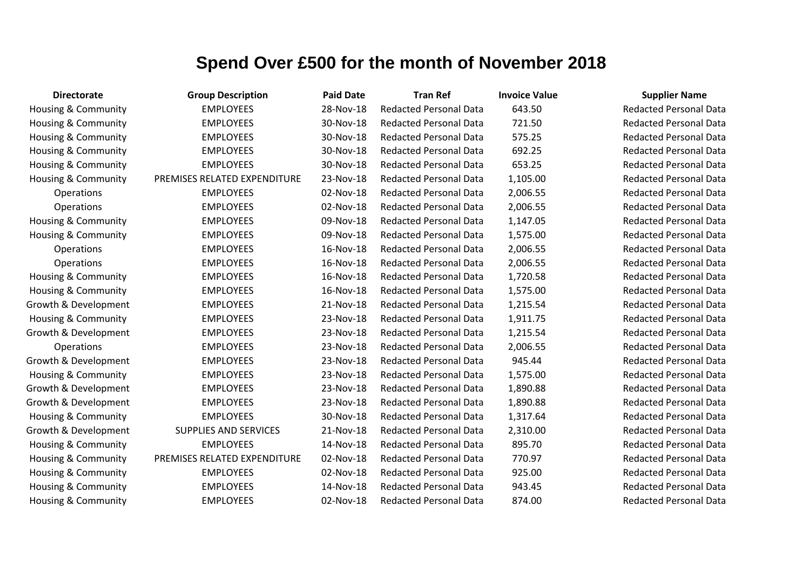| <b>Directorate</b>             | <b>Group Description</b>     | <b>Paid Date</b> | <b>Tran Ref</b>               | <b>Invoice Value</b> | <b>Supplier Name</b>          |
|--------------------------------|------------------------------|------------------|-------------------------------|----------------------|-------------------------------|
| Housing & Community            | <b>EMPLOYEES</b>             | 28-Nov-18        | <b>Redacted Personal Data</b> | 643.50               | <b>Redacted Personal Data</b> |
| Housing & Community            | <b>EMPLOYEES</b>             | 30-Nov-18        | <b>Redacted Personal Data</b> | 721.50               | <b>Redacted Personal Data</b> |
| Housing & Community            | <b>EMPLOYEES</b>             | 30-Nov-18        | <b>Redacted Personal Data</b> | 575.25               | <b>Redacted Personal Data</b> |
| Housing & Community            | <b>EMPLOYEES</b>             | 30-Nov-18        | <b>Redacted Personal Data</b> | 692.25               | <b>Redacted Personal Data</b> |
| <b>Housing &amp; Community</b> | <b>EMPLOYEES</b>             | 30-Nov-18        | <b>Redacted Personal Data</b> | 653.25               | <b>Redacted Personal Data</b> |
| Housing & Community            | PREMISES RELATED EXPENDITURE | 23-Nov-18        | <b>Redacted Personal Data</b> | 1,105.00             | <b>Redacted Personal Data</b> |
| Operations                     | <b>EMPLOYEES</b>             | 02-Nov-18        | <b>Redacted Personal Data</b> | 2,006.55             | <b>Redacted Personal Data</b> |
| Operations                     | <b>EMPLOYEES</b>             | 02-Nov-18        | <b>Redacted Personal Data</b> | 2,006.55             | <b>Redacted Personal Data</b> |
| Housing & Community            | <b>EMPLOYEES</b>             | 09-Nov-18        | <b>Redacted Personal Data</b> | 1,147.05             | <b>Redacted Personal Data</b> |
| Housing & Community            | <b>EMPLOYEES</b>             | 09-Nov-18        | <b>Redacted Personal Data</b> | 1,575.00             | <b>Redacted Personal Data</b> |
| <b>Operations</b>              | <b>EMPLOYEES</b>             | 16-Nov-18        | <b>Redacted Personal Data</b> | 2,006.55             | <b>Redacted Personal Data</b> |
| Operations                     | <b>EMPLOYEES</b>             | 16-Nov-18        | <b>Redacted Personal Data</b> | 2,006.55             | <b>Redacted Personal Data</b> |
| <b>Housing &amp; Community</b> | <b>EMPLOYEES</b>             | 16-Nov-18        | <b>Redacted Personal Data</b> | 1,720.58             | <b>Redacted Personal Data</b> |
| Housing & Community            | <b>EMPLOYEES</b>             | 16-Nov-18        | <b>Redacted Personal Data</b> | 1,575.00             | <b>Redacted Personal Data</b> |
| Growth & Development           | <b>EMPLOYEES</b>             | 21-Nov-18        | <b>Redacted Personal Data</b> | 1,215.54             | <b>Redacted Personal Data</b> |
| <b>Housing &amp; Community</b> | <b>EMPLOYEES</b>             | 23-Nov-18        | <b>Redacted Personal Data</b> | 1,911.75             | <b>Redacted Personal Data</b> |
| Growth & Development           | <b>EMPLOYEES</b>             | 23-Nov-18        | <b>Redacted Personal Data</b> | 1,215.54             | <b>Redacted Personal Data</b> |
| Operations                     | <b>EMPLOYEES</b>             | 23-Nov-18        | <b>Redacted Personal Data</b> | 2,006.55             | <b>Redacted Personal Data</b> |
| Growth & Development           | <b>EMPLOYEES</b>             | 23-Nov-18        | <b>Redacted Personal Data</b> | 945.44               | <b>Redacted Personal Data</b> |
| Housing & Community            | <b>EMPLOYEES</b>             | 23-Nov-18        | <b>Redacted Personal Data</b> | 1,575.00             | <b>Redacted Personal Data</b> |
| Growth & Development           | <b>EMPLOYEES</b>             | 23-Nov-18        | <b>Redacted Personal Data</b> | 1,890.88             | <b>Redacted Personal Data</b> |
| Growth & Development           | <b>EMPLOYEES</b>             | 23-Nov-18        | <b>Redacted Personal Data</b> | 1,890.88             | <b>Redacted Personal Data</b> |
| Housing & Community            | <b>EMPLOYEES</b>             | 30-Nov-18        | <b>Redacted Personal Data</b> | 1,317.64             | <b>Redacted Personal Data</b> |
| Growth & Development           | SUPPLIES AND SERVICES        | 21-Nov-18        | <b>Redacted Personal Data</b> | 2,310.00             | <b>Redacted Personal Data</b> |
| <b>Housing &amp; Community</b> | <b>EMPLOYEES</b>             | 14-Nov-18        | <b>Redacted Personal Data</b> | 895.70               | <b>Redacted Personal Data</b> |
| Housing & Community            | PREMISES RELATED EXPENDITURE | 02-Nov-18        | <b>Redacted Personal Data</b> | 770.97               | <b>Redacted Personal Data</b> |
| Housing & Community            | <b>EMPLOYEES</b>             | 02-Nov-18        | <b>Redacted Personal Data</b> | 925.00               | <b>Redacted Personal Data</b> |
| Housing & Community            | <b>EMPLOYEES</b>             | 14-Nov-18        | <b>Redacted Personal Data</b> | 943.45               | <b>Redacted Personal Data</b> |
| Housing & Community            | <b>EMPLOYEES</b>             | 02-Nov-18        | <b>Redacted Personal Data</b> | 874.00               | <b>Redacted Personal Data</b> |

lacted Personal Data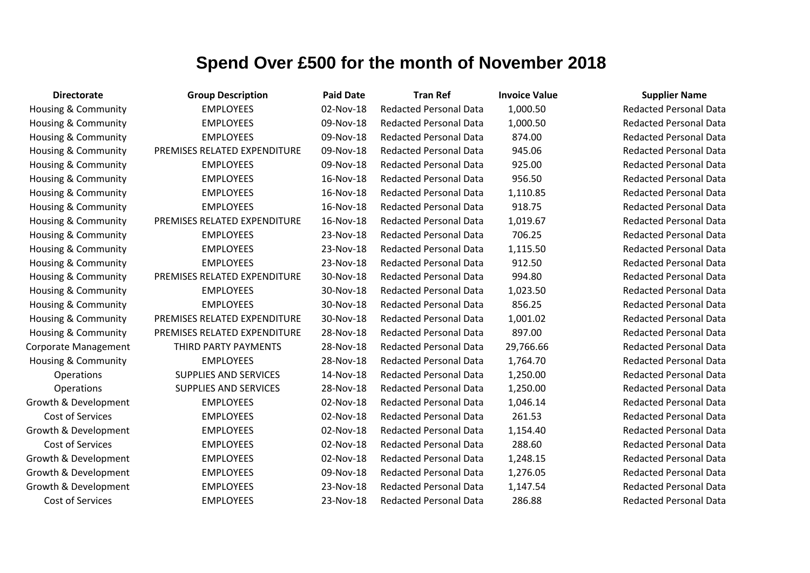| <b>Directorate</b>             | <b>Group Description</b>     | <b>Paid Date</b> | <b>Tran Ref</b>               | <b>Invoice Value</b> | <b>Supplier Name</b>          |
|--------------------------------|------------------------------|------------------|-------------------------------|----------------------|-------------------------------|
| <b>Housing &amp; Community</b> | <b>EMPLOYEES</b>             | 02-Nov-18        | <b>Redacted Personal Data</b> | 1,000.50             | <b>Redacted Personal Data</b> |
| <b>Housing &amp; Community</b> | <b>EMPLOYEES</b>             | 09-Nov-18        | <b>Redacted Personal Data</b> | 1,000.50             | <b>Redacted Personal Data</b> |
| Housing & Community            | <b>EMPLOYEES</b>             | 09-Nov-18        | <b>Redacted Personal Data</b> | 874.00               | <b>Redacted Personal Data</b> |
| Housing & Community            | PREMISES RELATED EXPENDITURE | 09-Nov-18        | <b>Redacted Personal Data</b> | 945.06               | <b>Redacted Personal Data</b> |
| <b>Housing &amp; Community</b> | <b>EMPLOYEES</b>             | 09-Nov-18        | <b>Redacted Personal Data</b> | 925.00               | <b>Redacted Personal Data</b> |
| <b>Housing &amp; Community</b> | <b>EMPLOYEES</b>             | 16-Nov-18        | <b>Redacted Personal Data</b> | 956.50               | <b>Redacted Personal Data</b> |
| <b>Housing &amp; Community</b> | <b>EMPLOYEES</b>             | 16-Nov-18        | <b>Redacted Personal Data</b> | 1,110.85             | <b>Redacted Personal Data</b> |
| <b>Housing &amp; Community</b> | <b>EMPLOYEES</b>             | 16-Nov-18        | <b>Redacted Personal Data</b> | 918.75               | <b>Redacted Personal Data</b> |
| <b>Housing &amp; Community</b> | PREMISES RELATED EXPENDITURE | 16-Nov-18        | <b>Redacted Personal Data</b> | 1,019.67             | <b>Redacted Personal Data</b> |
| <b>Housing &amp; Community</b> | <b>EMPLOYEES</b>             | 23-Nov-18        | <b>Redacted Personal Data</b> | 706.25               | <b>Redacted Personal Data</b> |
| <b>Housing &amp; Community</b> | <b>EMPLOYEES</b>             | 23-Nov-18        | <b>Redacted Personal Data</b> | 1,115.50             | <b>Redacted Personal Data</b> |
| <b>Housing &amp; Community</b> | <b>EMPLOYEES</b>             | 23-Nov-18        | <b>Redacted Personal Data</b> | 912.50               | <b>Redacted Personal Data</b> |
| <b>Housing &amp; Community</b> | PREMISES RELATED EXPENDITURE | 30-Nov-18        | <b>Redacted Personal Data</b> | 994.80               | <b>Redacted Personal Data</b> |
| <b>Housing &amp; Community</b> | <b>EMPLOYEES</b>             | 30-Nov-18        | <b>Redacted Personal Data</b> | 1,023.50             | <b>Redacted Personal Data</b> |
| Housing & Community            | <b>EMPLOYEES</b>             | 30-Nov-18        | <b>Redacted Personal Data</b> | 856.25               | <b>Redacted Personal Data</b> |
| <b>Housing &amp; Community</b> | PREMISES RELATED EXPENDITURE | 30-Nov-18        | <b>Redacted Personal Data</b> | 1,001.02             | <b>Redacted Personal Data</b> |
| <b>Housing &amp; Community</b> | PREMISES RELATED EXPENDITURE | 28-Nov-18        | <b>Redacted Personal Data</b> | 897.00               | <b>Redacted Personal Data</b> |
| Corporate Management           | THIRD PARTY PAYMENTS         | 28-Nov-18        | <b>Redacted Personal Data</b> | 29,766.66            | <b>Redacted Personal Data</b> |
| <b>Housing &amp; Community</b> | <b>EMPLOYEES</b>             | 28-Nov-18        | <b>Redacted Personal Data</b> | 1,764.70             | <b>Redacted Personal Data</b> |
| <b>Operations</b>              | <b>SUPPLIES AND SERVICES</b> | 14-Nov-18        | <b>Redacted Personal Data</b> | 1,250.00             | <b>Redacted Personal Data</b> |
| Operations                     | SUPPLIES AND SERVICES        | 28-Nov-18        | <b>Redacted Personal Data</b> | 1,250.00             | <b>Redacted Personal Data</b> |
| Growth & Development           | <b>EMPLOYEES</b>             | 02-Nov-18        | <b>Redacted Personal Data</b> | 1,046.14             | <b>Redacted Personal Data</b> |
| Cost of Services               | <b>EMPLOYEES</b>             | 02-Nov-18        | <b>Redacted Personal Data</b> | 261.53               | <b>Redacted Personal Data</b> |
| Growth & Development           | <b>EMPLOYEES</b>             | 02-Nov-18        | <b>Redacted Personal Data</b> | 1,154.40             | <b>Redacted Personal Data</b> |
| Cost of Services               | <b>EMPLOYEES</b>             | 02-Nov-18        | <b>Redacted Personal Data</b> | 288.60               | <b>Redacted Personal Data</b> |
| Growth & Development           | <b>EMPLOYEES</b>             | 02-Nov-18        | <b>Redacted Personal Data</b> | 1,248.15             | <b>Redacted Personal Data</b> |
| Growth & Development           | <b>EMPLOYEES</b>             | 09-Nov-18        | <b>Redacted Personal Data</b> | 1,276.05             | <b>Redacted Personal Data</b> |
| Growth & Development           | <b>EMPLOYEES</b>             | 23-Nov-18        | <b>Redacted Personal Data</b> | 1,147.54             | <b>Redacted Personal Data</b> |
| Cost of Services               | <b>EMPLOYEES</b>             | 23-Nov-18        | <b>Redacted Personal Data</b> | 286.88               | <b>Redacted Personal Data</b> |

# Redacted Personal Data **Redacted Personal Data** Redacted Personal Data **Redacted Personal Data**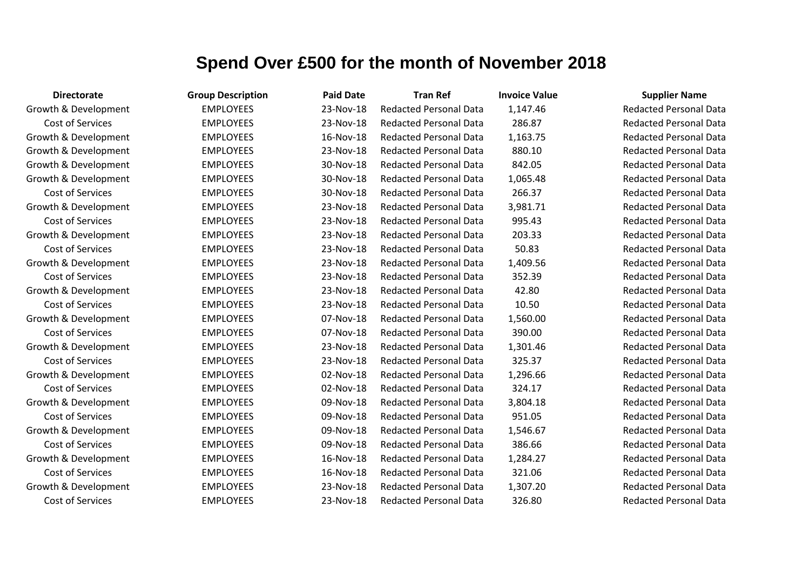| <b>Directorate</b>   | <b>Group Description</b> | <b>Paid Date</b> | <b>Tran Ref</b>               | <b>Invoice Value</b> | <b>Supplier Name</b>          |
|----------------------|--------------------------|------------------|-------------------------------|----------------------|-------------------------------|
| Growth & Development | <b>EMPLOYEES</b>         | 23-Nov-18        | <b>Redacted Personal Data</b> | 1,147.46             | <b>Redacted Personal Data</b> |
| Cost of Services     | <b>EMPLOYEES</b>         | 23-Nov-18        | <b>Redacted Personal Data</b> | 286.87               | <b>Redacted Personal Data</b> |
| Growth & Development | <b>EMPLOYEES</b>         | 16-Nov-18        | <b>Redacted Personal Data</b> | 1,163.75             | <b>Redacted Personal Data</b> |
| Growth & Development | <b>EMPLOYEES</b>         | 23-Nov-18        | <b>Redacted Personal Data</b> | 880.10               | <b>Redacted Personal Data</b> |
| Growth & Development | <b>EMPLOYEES</b>         | 30-Nov-18        | <b>Redacted Personal Data</b> | 842.05               | <b>Redacted Personal Data</b> |
| Growth & Development | <b>EMPLOYEES</b>         | 30-Nov-18        | <b>Redacted Personal Data</b> | 1,065.48             | <b>Redacted Personal Data</b> |
| Cost of Services     | <b>EMPLOYEES</b>         | 30-Nov-18        | <b>Redacted Personal Data</b> | 266.37               | <b>Redacted Personal Data</b> |
| Growth & Development | <b>EMPLOYEES</b>         | 23-Nov-18        | <b>Redacted Personal Data</b> | 3,981.71             | <b>Redacted Personal Data</b> |
| Cost of Services     | <b>EMPLOYEES</b>         | 23-Nov-18        | <b>Redacted Personal Data</b> | 995.43               | <b>Redacted Personal Data</b> |
| Growth & Development | <b>EMPLOYEES</b>         | 23-Nov-18        | <b>Redacted Personal Data</b> | 203.33               | <b>Redacted Personal Data</b> |
| Cost of Services     | <b>EMPLOYEES</b>         | 23-Nov-18        | <b>Redacted Personal Data</b> | 50.83                | <b>Redacted Personal Data</b> |
| Growth & Development | <b>EMPLOYEES</b>         | 23-Nov-18        | <b>Redacted Personal Data</b> | 1,409.56             | <b>Redacted Personal Data</b> |
| Cost of Services     | <b>EMPLOYEES</b>         | 23-Nov-18        | <b>Redacted Personal Data</b> | 352.39               | <b>Redacted Personal Data</b> |
| Growth & Development | <b>EMPLOYEES</b>         | 23-Nov-18        | <b>Redacted Personal Data</b> | 42.80                | <b>Redacted Personal Data</b> |
| Cost of Services     | <b>EMPLOYEES</b>         | 23-Nov-18        | <b>Redacted Personal Data</b> | 10.50                | <b>Redacted Personal Data</b> |
| Growth & Development | <b>EMPLOYEES</b>         | 07-Nov-18        | <b>Redacted Personal Data</b> | 1,560.00             | <b>Redacted Personal Data</b> |
| Cost of Services     | <b>EMPLOYEES</b>         | 07-Nov-18        | <b>Redacted Personal Data</b> | 390.00               | <b>Redacted Personal Data</b> |
| Growth & Development | <b>EMPLOYEES</b>         | 23-Nov-18        | <b>Redacted Personal Data</b> | 1,301.46             | <b>Redacted Personal Data</b> |
| Cost of Services     | <b>EMPLOYEES</b>         | 23-Nov-18        | <b>Redacted Personal Data</b> | 325.37               | <b>Redacted Personal Data</b> |
| Growth & Development | <b>EMPLOYEES</b>         | 02-Nov-18        | <b>Redacted Personal Data</b> | 1,296.66             | <b>Redacted Personal Data</b> |
| Cost of Services     | <b>EMPLOYEES</b>         | 02-Nov-18        | <b>Redacted Personal Data</b> | 324.17               | <b>Redacted Personal Data</b> |
| Growth & Development | <b>EMPLOYEES</b>         | 09-Nov-18        | <b>Redacted Personal Data</b> | 3,804.18             | <b>Redacted Personal Data</b> |
| Cost of Services     | <b>EMPLOYEES</b>         | 09-Nov-18        | <b>Redacted Personal Data</b> | 951.05               | <b>Redacted Personal Data</b> |
| Growth & Development | <b>EMPLOYEES</b>         | 09-Nov-18        | <b>Redacted Personal Data</b> | 1,546.67             | <b>Redacted Personal Data</b> |
| Cost of Services     | <b>EMPLOYEES</b>         | 09-Nov-18        | <b>Redacted Personal Data</b> | 386.66               | <b>Redacted Personal Data</b> |
| Growth & Development | <b>EMPLOYEES</b>         | 16-Nov-18        | <b>Redacted Personal Data</b> | 1,284.27             | <b>Redacted Personal Data</b> |
| Cost of Services     | <b>EMPLOYEES</b>         | 16-Nov-18        | <b>Redacted Personal Data</b> | 321.06               | <b>Redacted Personal Data</b> |
| Growth & Development | <b>EMPLOYEES</b>         | 23-Nov-18        | <b>Redacted Personal Data</b> | 1,307.20             | <b>Redacted Personal Data</b> |
| Cost of Services     | <b>EMPLOYEES</b>         | 23-Nov-18        | <b>Redacted Personal Data</b> | 326.80               | <b>Redacted Personal Data</b> |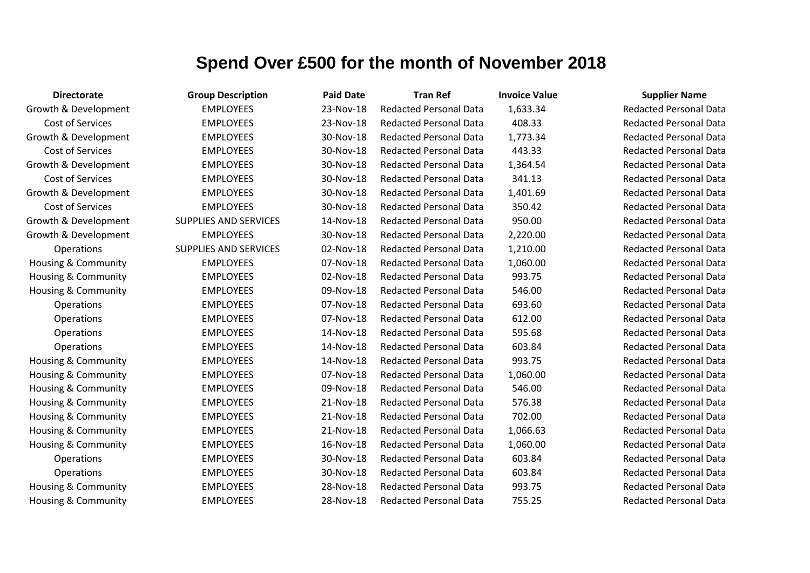| <b>Directorate</b>             | <b>Group Description</b>     | <b>Paid Date</b> | <b>Tran Ref</b>               | <b>Invoice Value</b> | <b>Supplier Name</b>          |
|--------------------------------|------------------------------|------------------|-------------------------------|----------------------|-------------------------------|
| Growth & Development           | <b>EMPLOYEES</b>             | 23-Nov-18        | <b>Redacted Personal Data</b> | 1,633.34             | <b>Redacted Personal Data</b> |
| Cost of Services               | <b>EMPLOYEES</b>             | 23-Nov-18        | <b>Redacted Personal Data</b> | 408.33               | <b>Redacted Personal Data</b> |
| Growth & Development           | <b>EMPLOYEES</b>             | 30-Nov-18        | <b>Redacted Personal Data</b> | 1,773.34             | <b>Redacted Personal Data</b> |
| Cost of Services               | <b>EMPLOYEES</b>             | 30-Nov-18        | <b>Redacted Personal Data</b> | 443.33               | <b>Redacted Personal Data</b> |
| Growth & Development           | <b>EMPLOYEES</b>             | 30-Nov-18        | <b>Redacted Personal Data</b> | 1,364.54             | <b>Redacted Personal Data</b> |
| Cost of Services               | <b>EMPLOYEES</b>             | 30-Nov-18        | <b>Redacted Personal Data</b> | 341.13               | <b>Redacted Personal Data</b> |
| Growth & Development           | <b>EMPLOYEES</b>             | 30-Nov-18        | <b>Redacted Personal Data</b> | 1,401.69             | <b>Redacted Personal Data</b> |
| <b>Cost of Services</b>        | <b>EMPLOYEES</b>             | 30-Nov-18        | <b>Redacted Personal Data</b> | 350.42               | <b>Redacted Personal Data</b> |
| Growth & Development           | <b>SUPPLIES AND SERVICES</b> | 14-Nov-18        | <b>Redacted Personal Data</b> | 950.00               | <b>Redacted Personal Data</b> |
| Growth & Development           | <b>EMPLOYEES</b>             | 30-Nov-18        | <b>Redacted Personal Data</b> | 2,220.00             | <b>Redacted Personal Data</b> |
| Operations                     | <b>SUPPLIES AND SERVICES</b> | 02-Nov-18        | <b>Redacted Personal Data</b> | 1,210.00             | <b>Redacted Personal Data</b> |
| <b>Housing &amp; Community</b> | <b>EMPLOYEES</b>             | 07-Nov-18        | <b>Redacted Personal Data</b> | 1,060.00             | <b>Redacted Personal Data</b> |
| <b>Housing &amp; Community</b> | <b>EMPLOYEES</b>             | 02-Nov-18        | <b>Redacted Personal Data</b> | 993.75               | <b>Redacted Personal Data</b> |
| Housing & Community            | <b>EMPLOYEES</b>             | 09-Nov-18        | <b>Redacted Personal Data</b> | 546.00               | <b>Redacted Personal Data</b> |
| Operations                     | <b>EMPLOYEES</b>             | 07-Nov-18        | <b>Redacted Personal Data</b> | 693.60               | <b>Redacted Personal Data</b> |
| Operations                     | <b>EMPLOYEES</b>             | 07-Nov-18        | <b>Redacted Personal Data</b> | 612.00               | <b>Redacted Personal Data</b> |
| Operations                     | <b>EMPLOYEES</b>             | 14-Nov-18        | <b>Redacted Personal Data</b> | 595.68               | <b>Redacted Personal Data</b> |
| Operations                     | <b>EMPLOYEES</b>             | 14-Nov-18        | <b>Redacted Personal Data</b> | 603.84               | <b>Redacted Personal Data</b> |
| <b>Housing &amp; Community</b> | <b>EMPLOYEES</b>             | 14-Nov-18        | <b>Redacted Personal Data</b> | 993.75               | <b>Redacted Personal Data</b> |
| <b>Housing &amp; Community</b> | <b>EMPLOYEES</b>             | 07-Nov-18        | <b>Redacted Personal Data</b> | 1,060.00             | <b>Redacted Personal Data</b> |
| <b>Housing &amp; Community</b> | <b>EMPLOYEES</b>             | 09-Nov-18        | <b>Redacted Personal Data</b> | 546.00               | <b>Redacted Personal Data</b> |
| <b>Housing &amp; Community</b> | <b>EMPLOYEES</b>             | 21-Nov-18        | <b>Redacted Personal Data</b> | 576.38               | <b>Redacted Personal Data</b> |
| <b>Housing &amp; Community</b> | <b>EMPLOYEES</b>             | 21-Nov-18        | <b>Redacted Personal Data</b> | 702.00               | <b>Redacted Personal Data</b> |
| Housing & Community            | <b>EMPLOYEES</b>             | 21-Nov-18        | <b>Redacted Personal Data</b> | 1,066.63             | <b>Redacted Personal Data</b> |
| Housing & Community            | <b>EMPLOYEES</b>             | 16-Nov-18        | <b>Redacted Personal Data</b> | 1,060.00             | <b>Redacted Personal Data</b> |
| Operations                     | <b>EMPLOYEES</b>             | 30-Nov-18        | <b>Redacted Personal Data</b> | 603.84               | <b>Redacted Personal Data</b> |
| Operations                     | <b>EMPLOYEES</b>             | 30-Nov-18        | <b>Redacted Personal Data</b> | 603.84               | <b>Redacted Personal Data</b> |
| <b>Housing &amp; Community</b> | <b>EMPLOYEES</b>             | 28-Nov-18        | <b>Redacted Personal Data</b> | 993.75               | <b>Redacted Personal Data</b> |
| Housing & Community            | <b>EMPLOYEES</b>             | 28-Nov-18        | <b>Redacted Personal Data</b> | 755.25               | <b>Redacted Personal Data</b> |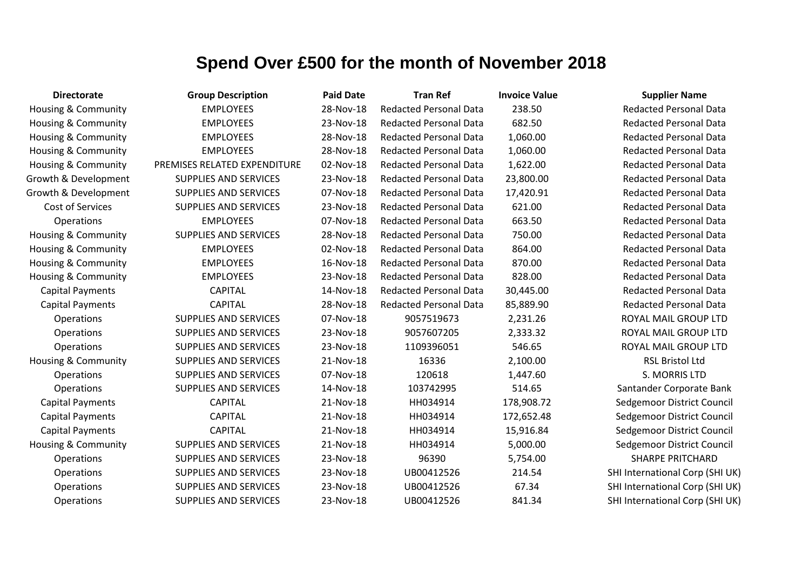| <b>Directorate</b>             | <b>Group Description</b>     | <b>Paid Date</b> | <b>Tran Ref</b>               | <b>Invoice Value</b> | <b>Supplier Name</b>            |
|--------------------------------|------------------------------|------------------|-------------------------------|----------------------|---------------------------------|
| Housing & Community            | <b>EMPLOYEES</b>             | 28-Nov-18        | <b>Redacted Personal Data</b> | 238.50               | <b>Redacted Personal Data</b>   |
| Housing & Community            | <b>EMPLOYEES</b>             | 23-Nov-18        | <b>Redacted Personal Data</b> | 682.50               | <b>Redacted Personal Data</b>   |
| Housing & Community            | <b>EMPLOYEES</b>             | 28-Nov-18        | <b>Redacted Personal Data</b> | 1,060.00             | <b>Redacted Personal Data</b>   |
| Housing & Community            | <b>EMPLOYEES</b>             | 28-Nov-18        | <b>Redacted Personal Data</b> | 1,060.00             | <b>Redacted Personal Data</b>   |
| Housing & Community            | PREMISES RELATED EXPENDITURE | 02-Nov-18        | <b>Redacted Personal Data</b> | 1,622.00             | <b>Redacted Personal Data</b>   |
| Growth & Development           | <b>SUPPLIES AND SERVICES</b> | 23-Nov-18        | <b>Redacted Personal Data</b> | 23,800.00            | <b>Redacted Personal Data</b>   |
| Growth & Development           | <b>SUPPLIES AND SERVICES</b> | 07-Nov-18        | <b>Redacted Personal Data</b> | 17,420.91            | <b>Redacted Personal Data</b>   |
| Cost of Services               | <b>SUPPLIES AND SERVICES</b> | 23-Nov-18        | <b>Redacted Personal Data</b> | 621.00               | <b>Redacted Personal Data</b>   |
| Operations                     | <b>EMPLOYEES</b>             | 07-Nov-18        | <b>Redacted Personal Data</b> | 663.50               | <b>Redacted Personal Data</b>   |
| Housing & Community            | <b>SUPPLIES AND SERVICES</b> | 28-Nov-18        | <b>Redacted Personal Data</b> | 750.00               | <b>Redacted Personal Data</b>   |
| <b>Housing &amp; Community</b> | <b>EMPLOYEES</b>             | 02-Nov-18        | <b>Redacted Personal Data</b> | 864.00               | <b>Redacted Personal Data</b>   |
| Housing & Community            | <b>EMPLOYEES</b>             | 16-Nov-18        | <b>Redacted Personal Data</b> | 870.00               | <b>Redacted Personal Data</b>   |
| <b>Housing &amp; Community</b> | <b>EMPLOYEES</b>             | 23-Nov-18        | <b>Redacted Personal Data</b> | 828.00               | <b>Redacted Personal Data</b>   |
| <b>Capital Payments</b>        | <b>CAPITAL</b>               | 14-Nov-18        | <b>Redacted Personal Data</b> | 30,445.00            | <b>Redacted Personal Data</b>   |
| <b>Capital Payments</b>        | <b>CAPITAL</b>               | 28-Nov-18        | <b>Redacted Personal Data</b> | 85,889.90            | <b>Redacted Personal Data</b>   |
| Operations                     | <b>SUPPLIES AND SERVICES</b> | 07-Nov-18        | 9057519673                    | 2,231.26             | ROYAL MAIL GROUP LTD            |
| Operations                     | <b>SUPPLIES AND SERVICES</b> | 23-Nov-18        | 9057607205                    | 2,333.32             | ROYAL MAIL GROUP LTD            |
| Operations                     | <b>SUPPLIES AND SERVICES</b> | 23-Nov-18        | 1109396051                    | 546.65               | ROYAL MAIL GROUP LTD            |
| Housing & Community            | <b>SUPPLIES AND SERVICES</b> | 21-Nov-18        | 16336                         | 2,100.00             | <b>RSL Bristol Ltd</b>          |
| Operations                     | <b>SUPPLIES AND SERVICES</b> | 07-Nov-18        | 120618                        | 1,447.60             | S. MORRIS LTD                   |
| Operations                     | <b>SUPPLIES AND SERVICES</b> | 14-Nov-18        | 103742995                     | 514.65               | Santander Corporate Bank        |
| <b>Capital Payments</b>        | <b>CAPITAL</b>               | 21-Nov-18        | HH034914                      | 178,908.72           | Sedgemoor District Council      |
| <b>Capital Payments</b>        | <b>CAPITAL</b>               | 21-Nov-18        | HH034914                      | 172,652.48           | Sedgemoor District Council      |
| <b>Capital Payments</b>        | <b>CAPITAL</b>               | 21-Nov-18        | HH034914                      | 15,916.84            | Sedgemoor District Council      |
| Housing & Community            | <b>SUPPLIES AND SERVICES</b> | 21-Nov-18        | HH034914                      | 5,000.00             | Sedgemoor District Council      |
| Operations                     | SUPPLIES AND SERVICES        | 23-Nov-18        | 96390                         | 5,754.00             | <b>SHARPE PRITCHARD</b>         |
| Operations                     | <b>SUPPLIES AND SERVICES</b> | 23-Nov-18        | UB00412526                    | 214.54               | SHI International Corp (SHI UK) |
| Operations                     | <b>SUPPLIES AND SERVICES</b> | 23-Nov-18        | UB00412526                    | 67.34                | SHI International Corp (SHI UK) |
| Operations                     | <b>SUPPLIES AND SERVICES</b> | 23-Nov-18        | UB00412526                    | 841.34               | SHI International Corp (SHI UK) |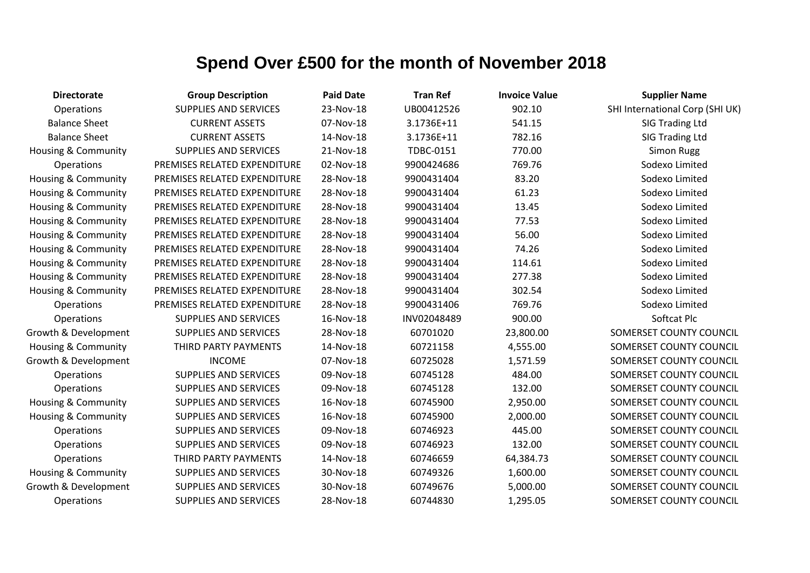| <b>Directorate</b>             | <b>Group Description</b>     | <b>Paid Date</b> | <b>Tran Ref</b> | <b>Invoice Value</b> | <b>Supplier Name</b>            |
|--------------------------------|------------------------------|------------------|-----------------|----------------------|---------------------------------|
| Operations                     | <b>SUPPLIES AND SERVICES</b> | 23-Nov-18        | UB00412526      | 902.10               | SHI International Corp (SHI UK) |
| <b>Balance Sheet</b>           | <b>CURRENT ASSETS</b>        | 07-Nov-18        | 3.1736E+11      | 541.15               | SIG Trading Ltd                 |
| <b>Balance Sheet</b>           | <b>CURRENT ASSETS</b>        | 14-Nov-18        | 3.1736E+11      | 782.16               | <b>SIG Trading Ltd</b>          |
| Housing & Community            | <b>SUPPLIES AND SERVICES</b> | 21-Nov-18        | TDBC-0151       | 770.00               | <b>Simon Rugg</b>               |
| Operations                     | PREMISES RELATED EXPENDITURE | 02-Nov-18        | 9900424686      | 769.76               | Sodexo Limited                  |
| <b>Housing &amp; Community</b> | PREMISES RELATED EXPENDITURE | 28-Nov-18        | 9900431404      | 83.20                | Sodexo Limited                  |
| Housing & Community            | PREMISES RELATED EXPENDITURE | 28-Nov-18        | 9900431404      | 61.23                | Sodexo Limited                  |
| Housing & Community            | PREMISES RELATED EXPENDITURE | 28-Nov-18        | 9900431404      | 13.45                | Sodexo Limited                  |
| Housing & Community            | PREMISES RELATED EXPENDITURE | 28-Nov-18        | 9900431404      | 77.53                | Sodexo Limited                  |
| Housing & Community            | PREMISES RELATED EXPENDITURE | 28-Nov-18        | 9900431404      | 56.00                | Sodexo Limited                  |
| Housing & Community            | PREMISES RELATED EXPENDITURE | 28-Nov-18        | 9900431404      | 74.26                | Sodexo Limited                  |
| Housing & Community            | PREMISES RELATED EXPENDITURE | 28-Nov-18        | 9900431404      | 114.61               | Sodexo Limited                  |
| Housing & Community            | PREMISES RELATED EXPENDITURE | 28-Nov-18        | 9900431404      | 277.38               | Sodexo Limited                  |
| Housing & Community            | PREMISES RELATED EXPENDITURE | 28-Nov-18        | 9900431404      | 302.54               | Sodexo Limited                  |
| Operations                     | PREMISES RELATED EXPENDITURE | 28-Nov-18        | 9900431406      | 769.76               | Sodexo Limited                  |
| Operations                     | <b>SUPPLIES AND SERVICES</b> | 16-Nov-18        | INV02048489     | 900.00               | Softcat Plc                     |
| Growth & Development           | <b>SUPPLIES AND SERVICES</b> | 28-Nov-18        | 60701020        | 23,800.00            | SOMERSET COUNTY COUNCIL         |
| <b>Housing &amp; Community</b> | THIRD PARTY PAYMENTS         | 14-Nov-18        | 60721158        | 4,555.00             | SOMERSET COUNTY COUNCIL         |
| Growth & Development           | <b>INCOME</b>                | 07-Nov-18        | 60725028        | 1,571.59             | SOMERSET COUNTY COUNCIL         |
| Operations                     | <b>SUPPLIES AND SERVICES</b> | 09-Nov-18        | 60745128        | 484.00               | SOMERSET COUNTY COUNCIL         |
| Operations                     | <b>SUPPLIES AND SERVICES</b> | 09-Nov-18        | 60745128        | 132.00               | SOMERSET COUNTY COUNCIL         |
| Housing & Community            | <b>SUPPLIES AND SERVICES</b> | 16-Nov-18        | 60745900        | 2,950.00             | SOMERSET COUNTY COUNCIL         |
| Housing & Community            | <b>SUPPLIES AND SERVICES</b> | 16-Nov-18        | 60745900        | 2,000.00             | SOMERSET COUNTY COUNCIL         |
| Operations                     | <b>SUPPLIES AND SERVICES</b> | 09-Nov-18        | 60746923        | 445.00               | SOMERSET COUNTY COUNCIL         |
| Operations                     | SUPPLIES AND SERVICES        | 09-Nov-18        | 60746923        | 132.00               | SOMERSET COUNTY COUNCIL         |
| Operations                     | THIRD PARTY PAYMENTS         | 14-Nov-18        | 60746659        | 64,384.73            | SOMERSET COUNTY COUNCIL         |
| <b>Housing &amp; Community</b> | <b>SUPPLIES AND SERVICES</b> | 30-Nov-18        | 60749326        | 1,600.00             | SOMERSET COUNTY COUNCIL         |
| Growth & Development           | <b>SUPPLIES AND SERVICES</b> | 30-Nov-18        | 60749676        | 5,000.00             | SOMERSET COUNTY COUNCIL         |
| Operations                     | <b>SUPPLIES AND SERVICES</b> | 28-Nov-18        | 60744830        | 1,295.05             | SOMERSET COUNTY COUNCIL         |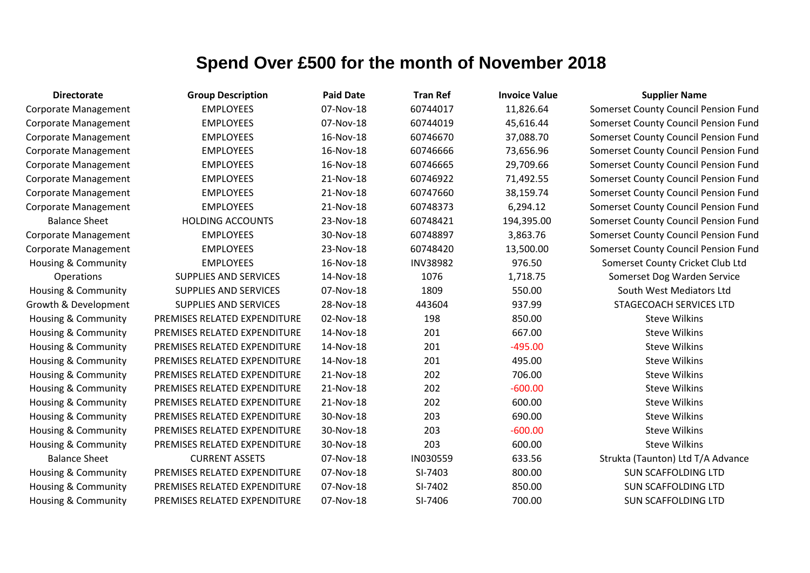| <b>Directorate</b>             | <b>Group Description</b>     | <b>Paid Date</b> | <b>Tran Ref</b> | <b>Invoice Value</b> | <b>Supplier Name</b>                 |
|--------------------------------|------------------------------|------------------|-----------------|----------------------|--------------------------------------|
| <b>Corporate Management</b>    | <b>EMPLOYEES</b>             | 07-Nov-18        | 60744017        | 11,826.64            | Somerset County Council Pension Fund |
| Corporate Management           | <b>EMPLOYEES</b>             | 07-Nov-18        | 60744019        | 45,616.44            | Somerset County Council Pension Fund |
| <b>Corporate Management</b>    | <b>EMPLOYEES</b>             | 16-Nov-18        | 60746670        | 37,088.70            | Somerset County Council Pension Fund |
| Corporate Management           | <b>EMPLOYEES</b>             | 16-Nov-18        | 60746666        | 73,656.96            | Somerset County Council Pension Fund |
| <b>Corporate Management</b>    | <b>EMPLOYEES</b>             | 16-Nov-18        | 60746665        | 29,709.66            | Somerset County Council Pension Fund |
| <b>Corporate Management</b>    | <b>EMPLOYEES</b>             | 21-Nov-18        | 60746922        | 71,492.55            | Somerset County Council Pension Fund |
| Corporate Management           | <b>EMPLOYEES</b>             | 21-Nov-18        | 60747660        | 38,159.74            | Somerset County Council Pension Fund |
| Corporate Management           | <b>EMPLOYEES</b>             | 21-Nov-18        | 60748373        | 6,294.12             | Somerset County Council Pension Fund |
| <b>Balance Sheet</b>           | <b>HOLDING ACCOUNTS</b>      | 23-Nov-18        | 60748421        | 194,395.00           | Somerset County Council Pension Fund |
| Corporate Management           | <b>EMPLOYEES</b>             | 30-Nov-18        | 60748897        | 3,863.76             | Somerset County Council Pension Fund |
| Corporate Management           | <b>EMPLOYEES</b>             | 23-Nov-18        | 60748420        | 13,500.00            | Somerset County Council Pension Fund |
| Housing & Community            | <b>EMPLOYEES</b>             | 16-Nov-18        | <b>INV38982</b> | 976.50               | Somerset County Cricket Club Ltd     |
| Operations                     | <b>SUPPLIES AND SERVICES</b> | 14-Nov-18        | 1076            | 1,718.75             | Somerset Dog Warden Service          |
| Housing & Community            | SUPPLIES AND SERVICES        | 07-Nov-18        | 1809            | 550.00               | South West Mediators Ltd             |
| Growth & Development           | SUPPLIES AND SERVICES        | 28-Nov-18        | 443604          | 937.99               | STAGECOACH SERVICES LTD              |
| Housing & Community            | PREMISES RELATED EXPENDITURE | 02-Nov-18        | 198             | 850.00               | <b>Steve Wilkins</b>                 |
| <b>Housing &amp; Community</b> | PREMISES RELATED EXPENDITURE | 14-Nov-18        | 201             | 667.00               | <b>Steve Wilkins</b>                 |
| Housing & Community            | PREMISES RELATED EXPENDITURE | 14-Nov-18        | 201             | $-495.00$            | <b>Steve Wilkins</b>                 |
| Housing & Community            | PREMISES RELATED EXPENDITURE | 14-Nov-18        | 201             | 495.00               | <b>Steve Wilkins</b>                 |
| Housing & Community            | PREMISES RELATED EXPENDITURE | 21-Nov-18        | 202             | 706.00               | <b>Steve Wilkins</b>                 |
| Housing & Community            | PREMISES RELATED EXPENDITURE | 21-Nov-18        | 202             | $-600.00$            | <b>Steve Wilkins</b>                 |
| Housing & Community            | PREMISES RELATED EXPENDITURE | 21-Nov-18        | 202             | 600.00               | <b>Steve Wilkins</b>                 |
| Housing & Community            | PREMISES RELATED EXPENDITURE | 30-Nov-18        | 203             | 690.00               | <b>Steve Wilkins</b>                 |
| Housing & Community            | PREMISES RELATED EXPENDITURE | 30-Nov-18        | 203             | $-600.00$            | <b>Steve Wilkins</b>                 |
| <b>Housing &amp; Community</b> | PREMISES RELATED EXPENDITURE | 30-Nov-18        | 203             | 600.00               | <b>Steve Wilkins</b>                 |
| <b>Balance Sheet</b>           | <b>CURRENT ASSETS</b>        | 07-Nov-18        | IN030559        | 633.56               | Strukta (Taunton) Ltd T/A Advance    |
| Housing & Community            | PREMISES RELATED EXPENDITURE | 07-Nov-18        | SI-7403         | 800.00               | <b>SUN SCAFFOLDING LTD</b>           |
| Housing & Community            | PREMISES RELATED EXPENDITURE | 07-Nov-18        | SI-7402         | 850.00               | <b>SUN SCAFFOLDING LTD</b>           |
| Housing & Community            | PREMISES RELATED EXPENDITURE | 07-Nov-18        | SI-7406         | 700.00               | <b>SUN SCAFFOLDING LTD</b>           |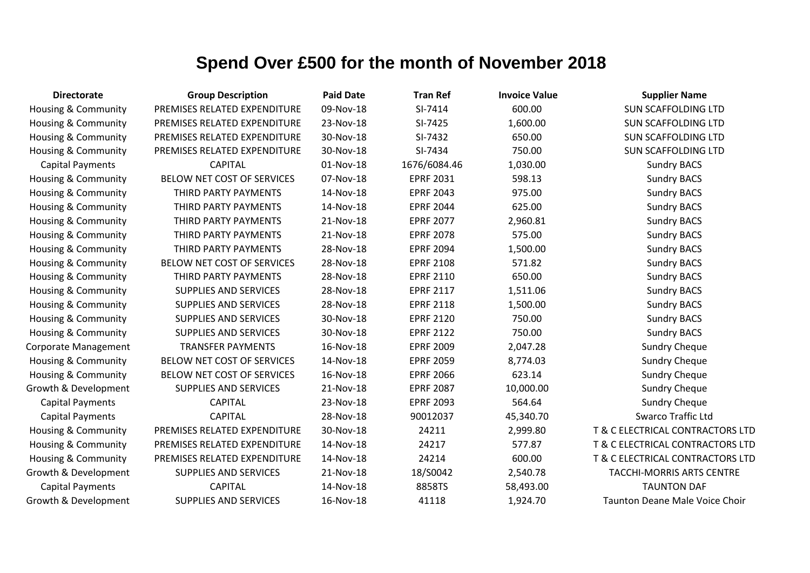| <b>Directorate</b>             | <b>Group Description</b>     | <b>Paid Date</b> | <b>Tran Ref</b>  | <b>Invoice Value</b> | <b>Supplier Name</b>                  |
|--------------------------------|------------------------------|------------------|------------------|----------------------|---------------------------------------|
| <b>Housing &amp; Community</b> | PREMISES RELATED EXPENDITURE | 09-Nov-18        | SI-7414          | 600.00               | <b>SUN SCAFFOLDING LTD</b>            |
| Housing & Community            | PREMISES RELATED EXPENDITURE | 23-Nov-18        | SI-7425          | 1,600.00             | <b>SUN SCAFFOLDING LTD</b>            |
| Housing & Community            | PREMISES RELATED EXPENDITURE | 30-Nov-18        | SI-7432          | 650.00               | <b>SUN SCAFFOLDING LTD</b>            |
| <b>Housing &amp; Community</b> | PREMISES RELATED EXPENDITURE | 30-Nov-18        | SI-7434          | 750.00               | <b>SUN SCAFFOLDING LTD</b>            |
| <b>Capital Payments</b>        | <b>CAPITAL</b>               | 01-Nov-18        | 1676/6084.46     | 1,030.00             | <b>Sundry BACS</b>                    |
| <b>Housing &amp; Community</b> | BELOW NET COST OF SERVICES   | 07-Nov-18        | <b>EPRF 2031</b> | 598.13               | <b>Sundry BACS</b>                    |
| Housing & Community            | THIRD PARTY PAYMENTS         | 14-Nov-18        | <b>EPRF 2043</b> | 975.00               | <b>Sundry BACS</b>                    |
| <b>Housing &amp; Community</b> | THIRD PARTY PAYMENTS         | 14-Nov-18        | <b>EPRF 2044</b> | 625.00               | <b>Sundry BACS</b>                    |
| <b>Housing &amp; Community</b> | THIRD PARTY PAYMENTS         | 21-Nov-18        | <b>EPRF 2077</b> | 2,960.81             | <b>Sundry BACS</b>                    |
| <b>Housing &amp; Community</b> | THIRD PARTY PAYMENTS         | 21-Nov-18        | <b>EPRF 2078</b> | 575.00               | <b>Sundry BACS</b>                    |
| <b>Housing &amp; Community</b> | THIRD PARTY PAYMENTS         | 28-Nov-18        | <b>EPRF 2094</b> | 1,500.00             | <b>Sundry BACS</b>                    |
| <b>Housing &amp; Community</b> | BELOW NET COST OF SERVICES   | 28-Nov-18        | <b>EPRF 2108</b> | 571.82               | <b>Sundry BACS</b>                    |
| Housing & Community            | THIRD PARTY PAYMENTS         | 28-Nov-18        | <b>EPRF 2110</b> | 650.00               | <b>Sundry BACS</b>                    |
| <b>Housing &amp; Community</b> | <b>SUPPLIES AND SERVICES</b> | 28-Nov-18        | <b>EPRF 2117</b> | 1,511.06             | <b>Sundry BACS</b>                    |
| Housing & Community            | <b>SUPPLIES AND SERVICES</b> | 28-Nov-18        | <b>EPRF 2118</b> | 1,500.00             | <b>Sundry BACS</b>                    |
| <b>Housing &amp; Community</b> | SUPPLIES AND SERVICES        | 30-Nov-18        | <b>EPRF 2120</b> | 750.00               | <b>Sundry BACS</b>                    |
| <b>Housing &amp; Community</b> | <b>SUPPLIES AND SERVICES</b> | 30-Nov-18        | <b>EPRF 2122</b> | 750.00               | <b>Sundry BACS</b>                    |
| Corporate Management           | <b>TRANSFER PAYMENTS</b>     | 16-Nov-18        | <b>EPRF 2009</b> | 2,047.28             | <b>Sundry Cheque</b>                  |
| <b>Housing &amp; Community</b> | BELOW NET COST OF SERVICES   | 14-Nov-18        | <b>EPRF 2059</b> | 8,774.03             | <b>Sundry Cheque</b>                  |
| <b>Housing &amp; Community</b> | BELOW NET COST OF SERVICES   | 16-Nov-18        | <b>EPRF 2066</b> | 623.14               | <b>Sundry Cheque</b>                  |
| Growth & Development           | <b>SUPPLIES AND SERVICES</b> | 21-Nov-18        | <b>EPRF 2087</b> | 10,000.00            | <b>Sundry Cheque</b>                  |
| <b>Capital Payments</b>        | <b>CAPITAL</b>               | 23-Nov-18        | <b>EPRF 2093</b> | 564.64               | <b>Sundry Cheque</b>                  |
| <b>Capital Payments</b>        | <b>CAPITAL</b>               | 28-Nov-18        | 90012037         | 45,340.70            | <b>Swarco Traffic Ltd</b>             |
| <b>Housing &amp; Community</b> | PREMISES RELATED EXPENDITURE | 30-Nov-18        | 24211            | 2,999.80             | T & C ELECTRICAL CONTRACTORS LTD      |
| <b>Housing &amp; Community</b> | PREMISES RELATED EXPENDITURE | 14-Nov-18        | 24217            | 577.87               | T & C ELECTRICAL CONTRACTORS LTD      |
| <b>Housing &amp; Community</b> | PREMISES RELATED EXPENDITURE | 14-Nov-18        | 24214            | 600.00               | T & C ELECTRICAL CONTRACTORS LTD      |
| Growth & Development           | <b>SUPPLIES AND SERVICES</b> | 21-Nov-18        | 18/S0042         | 2,540.78             | <b>TACCHI-MORRIS ARTS CENTRE</b>      |
| <b>Capital Payments</b>        | <b>CAPITAL</b>               | 14-Nov-18        | 8858TS           | 58,493.00            | <b>TAUNTON DAF</b>                    |
| Growth & Development           | <b>SUPPLIES AND SERVICES</b> | 16-Nov-18        | 41118            | 1,924.70             | <b>Taunton Deane Male Voice Choir</b> |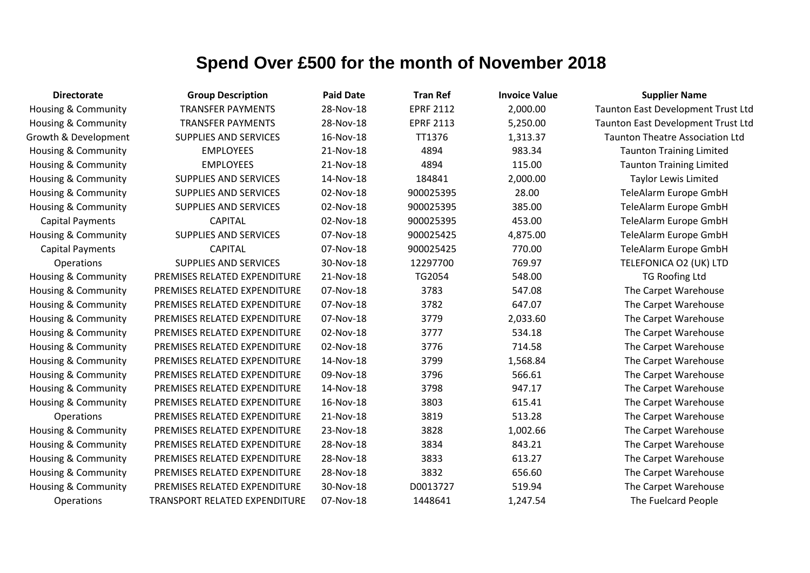| <b>Directorate</b>             | <b>Group Description</b>      | <b>Paid Date</b> | <b>Tran Ref</b>  | <b>Invoice Value</b> | <b>Supplier Name</b>                   |
|--------------------------------|-------------------------------|------------------|------------------|----------------------|----------------------------------------|
| <b>Housing &amp; Community</b> | <b>TRANSFER PAYMENTS</b>      | 28-Nov-18        | <b>EPRF 2112</b> | 2,000.00             | Taunton East Development Trust Ltd     |
| Housing & Community            | <b>TRANSFER PAYMENTS</b>      | 28-Nov-18        | <b>EPRF 2113</b> | 5,250.00             | Taunton East Development Trust Ltd     |
| Growth & Development           | <b>SUPPLIES AND SERVICES</b>  | 16-Nov-18        | TT1376           | 1,313.37             | <b>Taunton Theatre Association Ltd</b> |
| Housing & Community            | <b>EMPLOYEES</b>              | 21-Nov-18        | 4894             | 983.34               | <b>Taunton Training Limited</b>        |
| <b>Housing &amp; Community</b> | <b>EMPLOYEES</b>              | 21-Nov-18        | 4894             | 115.00               | <b>Taunton Training Limited</b>        |
| Housing & Community            | <b>SUPPLIES AND SERVICES</b>  | 14-Nov-18        | 184841           | 2,000.00             | <b>Taylor Lewis Limited</b>            |
| <b>Housing &amp; Community</b> | <b>SUPPLIES AND SERVICES</b>  | 02-Nov-18        | 900025395        | 28.00                | TeleAlarm Europe GmbH                  |
| Housing & Community            | <b>SUPPLIES AND SERVICES</b>  | 02-Nov-18        | 900025395        | 385.00               | TeleAlarm Europe GmbH                  |
| <b>Capital Payments</b>        | <b>CAPITAL</b>                | 02-Nov-18        | 900025395        | 453.00               | TeleAlarm Europe GmbH                  |
| Housing & Community            | <b>SUPPLIES AND SERVICES</b>  | 07-Nov-18        | 900025425        | 4,875.00             | TeleAlarm Europe GmbH                  |
| <b>Capital Payments</b>        | <b>CAPITAL</b>                | 07-Nov-18        | 900025425        | 770.00               | TeleAlarm Europe GmbH                  |
| <b>Operations</b>              | <b>SUPPLIES AND SERVICES</b>  | 30-Nov-18        | 12297700         | 769.97               | TELEFONICA O2 (UK) LTD                 |
| Housing & Community            | PREMISES RELATED EXPENDITURE  | 21-Nov-18        | TG2054           | 548.00               | <b>TG Roofing Ltd</b>                  |
| Housing & Community            | PREMISES RELATED EXPENDITURE  | 07-Nov-18        | 3783             | 547.08               | The Carpet Warehouse                   |
| Housing & Community            | PREMISES RELATED EXPENDITURE  | 07-Nov-18        | 3782             | 647.07               | The Carpet Warehouse                   |
| Housing & Community            | PREMISES RELATED EXPENDITURE  | 07-Nov-18        | 3779             | 2,033.60             | The Carpet Warehouse                   |
| <b>Housing &amp; Community</b> | PREMISES RELATED EXPENDITURE  | 02-Nov-18        | 3777             | 534.18               | The Carpet Warehouse                   |
| Housing & Community            | PREMISES RELATED EXPENDITURE  | 02-Nov-18        | 3776             | 714.58               | The Carpet Warehouse                   |
| Housing & Community            | PREMISES RELATED EXPENDITURE  | 14-Nov-18        | 3799             | 1,568.84             | The Carpet Warehouse                   |
| Housing & Community            | PREMISES RELATED EXPENDITURE  | 09-Nov-18        | 3796             | 566.61               | The Carpet Warehouse                   |
| <b>Housing &amp; Community</b> | PREMISES RELATED EXPENDITURE  | 14-Nov-18        | 3798             | 947.17               | The Carpet Warehouse                   |
| Housing & Community            | PREMISES RELATED EXPENDITURE  | 16-Nov-18        | 3803             | 615.41               | The Carpet Warehouse                   |
| Operations                     | PREMISES RELATED EXPENDITURE  | 21-Nov-18        | 3819             | 513.28               | The Carpet Warehouse                   |
| Housing & Community            | PREMISES RELATED EXPENDITURE  | 23-Nov-18        | 3828             | 1,002.66             | The Carpet Warehouse                   |
| Housing & Community            | PREMISES RELATED EXPENDITURE  | 28-Nov-18        | 3834             | 843.21               | The Carpet Warehouse                   |
| Housing & Community            | PREMISES RELATED EXPENDITURE  | 28-Nov-18        | 3833             | 613.27               | The Carpet Warehouse                   |
| Housing & Community            | PREMISES RELATED EXPENDITURE  | 28-Nov-18        | 3832             | 656.60               | The Carpet Warehouse                   |
| Housing & Community            | PREMISES RELATED EXPENDITURE  | 30-Nov-18        | D0013727         | 519.94               | The Carpet Warehouse                   |
| <b>Operations</b>              | TRANSPORT RELATED EXPENDITURE | 07-Nov-18        | 1448641          | 1,247.54             | The Fuelcard People                    |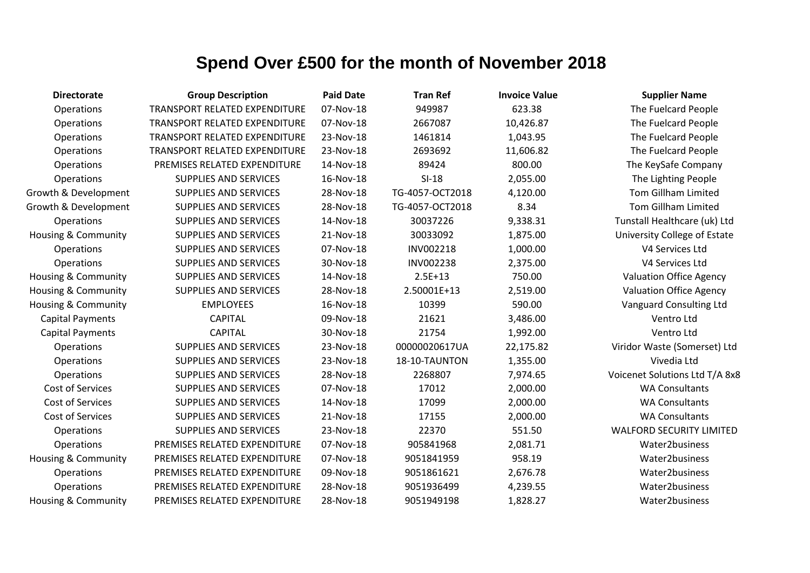| <b>Directorate</b>             | <b>Group Description</b>             | <b>Paid Date</b> | <b>Tran Ref</b> | <b>Invoice Value</b> | <b>Supplier Name</b>            |
|--------------------------------|--------------------------------------|------------------|-----------------|----------------------|---------------------------------|
| Operations                     | TRANSPORT RELATED EXPENDITURE        | 07-Nov-18        | 949987          | 623.38               | The Fuelcard People             |
| Operations                     | TRANSPORT RELATED EXPENDITURE        | 07-Nov-18        | 2667087         | 10,426.87            | The Fuelcard People             |
| Operations                     | TRANSPORT RELATED EXPENDITURE        | 23-Nov-18        | 1461814         | 1,043.95             | The Fuelcard People             |
| Operations                     | <b>TRANSPORT RELATED EXPENDITURE</b> | 23-Nov-18        | 2693692         | 11,606.82            | The Fuelcard People             |
| Operations                     | PREMISES RELATED EXPENDITURE         | 14-Nov-18        | 89424           | 800.00               | The KeySafe Company             |
| Operations                     | <b>SUPPLIES AND SERVICES</b>         | 16-Nov-18        | $SI-18$         | 2,055.00             | The Lighting People             |
| Growth & Development           | <b>SUPPLIES AND SERVICES</b>         | 28-Nov-18        | TG-4057-OCT2018 | 4,120.00             | <b>Tom Gillham Limited</b>      |
| Growth & Development           | <b>SUPPLIES AND SERVICES</b>         | 28-Nov-18        | TG-4057-OCT2018 | 8.34                 | <b>Tom Gillham Limited</b>      |
| Operations                     | <b>SUPPLIES AND SERVICES</b>         | 14-Nov-18        | 30037226        | 9,338.31             | Tunstall Healthcare (uk) Ltd    |
| Housing & Community            | <b>SUPPLIES AND SERVICES</b>         | 21-Nov-18        | 30033092        | 1,875.00             | University College of Estate    |
| Operations                     | <b>SUPPLIES AND SERVICES</b>         | 07-Nov-18        | INV002218       | 1,000.00             | V4 Services Ltd                 |
| Operations                     | <b>SUPPLIES AND SERVICES</b>         | 30-Nov-18        | INV002238       | 2,375.00             | V4 Services Ltd                 |
| <b>Housing &amp; Community</b> | <b>SUPPLIES AND SERVICES</b>         | 14-Nov-18        | $2.5E+13$       | 750.00               | <b>Valuation Office Agency</b>  |
| Housing & Community            | <b>SUPPLIES AND SERVICES</b>         | 28-Nov-18        | 2.50001E+13     | 2,519.00             | <b>Valuation Office Agency</b>  |
| Housing & Community            | <b>EMPLOYEES</b>                     | 16-Nov-18        | 10399           | 590.00               | Vanguard Consulting Ltd         |
| <b>Capital Payments</b>        | <b>CAPITAL</b>                       | 09-Nov-18        | 21621           | 3,486.00             | Ventro Ltd                      |
| <b>Capital Payments</b>        | <b>CAPITAL</b>                       | 30-Nov-18        | 21754           | 1,992.00             | Ventro Ltd                      |
| Operations                     | <b>SUPPLIES AND SERVICES</b>         | 23-Nov-18        | 00000020617UA   | 22,175.82            | Viridor Waste (Somerset) Ltd    |
| Operations                     | <b>SUPPLIES AND SERVICES</b>         | 23-Nov-18        | 18-10-TAUNTON   | 1,355.00             | Vivedia Ltd                     |
| Operations                     | <b>SUPPLIES AND SERVICES</b>         | 28-Nov-18        | 2268807         | 7,974.65             | Voicenet Solutions Ltd T/A 8x8  |
| Cost of Services               | <b>SUPPLIES AND SERVICES</b>         | 07-Nov-18        | 17012           | 2,000.00             | <b>WA Consultants</b>           |
| Cost of Services               | <b>SUPPLIES AND SERVICES</b>         | 14-Nov-18        | 17099           | 2,000.00             | <b>WA Consultants</b>           |
| Cost of Services               | <b>SUPPLIES AND SERVICES</b>         | 21-Nov-18        | 17155           | 2,000.00             | <b>WA Consultants</b>           |
| Operations                     | <b>SUPPLIES AND SERVICES</b>         | 23-Nov-18        | 22370           | 551.50               | <b>WALFORD SECURITY LIMITED</b> |
| Operations                     | PREMISES RELATED EXPENDITURE         | 07-Nov-18        | 905841968       | 2,081.71             | Water2business                  |
| <b>Housing &amp; Community</b> | PREMISES RELATED EXPENDITURE         | 07-Nov-18        | 9051841959      | 958.19               | Water2business                  |
| Operations                     | PREMISES RELATED EXPENDITURE         | 09-Nov-18        | 9051861621      | 2,676.78             | Water2business                  |
| Operations                     | PREMISES RELATED EXPENDITURE         | 28-Nov-18        | 9051936499      | 4,239.55             | Water2business                  |
| Housing & Community            | PREMISES RELATED EXPENDITURE         | 28-Nov-18        | 9051949198      | 1,828.27             | Water2business                  |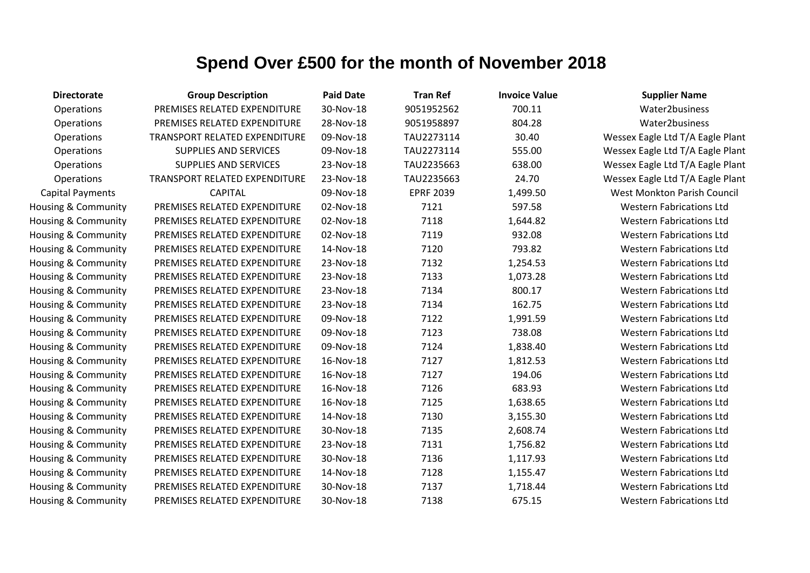| <b>Directorate</b>      | <b>Group Description</b>      | <b>Paid Date</b> | <b>Tran Ref</b>  | <b>Invoice Value</b> | <b>Supplier Name</b>             |
|-------------------------|-------------------------------|------------------|------------------|----------------------|----------------------------------|
| Operations              | PREMISES RELATED EXPENDITURE  | 30-Nov-18        | 9051952562       | 700.11               | Water2business                   |
| Operations              | PREMISES RELATED EXPENDITURE  | 28-Nov-18        | 9051958897       | 804.28               | Water2business                   |
| Operations              | TRANSPORT RELATED EXPENDITURE | 09-Nov-18        | TAU2273114       | 30.40                | Wessex Eagle Ltd T/A Eagle Plant |
| Operations              | <b>SUPPLIES AND SERVICES</b>  | 09-Nov-18        | TAU2273114       | 555.00               | Wessex Eagle Ltd T/A Eagle Plant |
| Operations              | SUPPLIES AND SERVICES         | 23-Nov-18        | TAU2235663       | 638.00               | Wessex Eagle Ltd T/A Eagle Plant |
| Operations              | TRANSPORT RELATED EXPENDITURE | 23-Nov-18        | TAU2235663       | 24.70                | Wessex Eagle Ltd T/A Eagle Plant |
| <b>Capital Payments</b> | <b>CAPITAL</b>                | 09-Nov-18        | <b>EPRF 2039</b> | 1,499.50             | West Monkton Parish Council      |
| Housing & Community     | PREMISES RELATED EXPENDITURE  | 02-Nov-18        | 7121             | 597.58               | <b>Western Fabrications Ltd</b>  |
| Housing & Community     | PREMISES RELATED EXPENDITURE  | 02-Nov-18        | 7118             | 1,644.82             | <b>Western Fabrications Ltd</b>  |
| Housing & Community     | PREMISES RELATED EXPENDITURE  | 02-Nov-18        | 7119             | 932.08               | <b>Western Fabrications Ltd</b>  |
| Housing & Community     | PREMISES RELATED EXPENDITURE  | 14-Nov-18        | 7120             | 793.82               | <b>Western Fabrications Ltd</b>  |
| Housing & Community     | PREMISES RELATED EXPENDITURE  | 23-Nov-18        | 7132             | 1,254.53             | <b>Western Fabrications Ltd</b>  |
| Housing & Community     | PREMISES RELATED EXPENDITURE  | 23-Nov-18        | 7133             | 1,073.28             | <b>Western Fabrications Ltd</b>  |
| Housing & Community     | PREMISES RELATED EXPENDITURE  | 23-Nov-18        | 7134             | 800.17               | <b>Western Fabrications Ltd</b>  |
| Housing & Community     | PREMISES RELATED EXPENDITURE  | 23-Nov-18        | 7134             | 162.75               | <b>Western Fabrications Ltd</b>  |
| Housing & Community     | PREMISES RELATED EXPENDITURE  | 09-Nov-18        | 7122             | 1,991.59             | <b>Western Fabrications Ltd</b>  |
| Housing & Community     | PREMISES RELATED EXPENDITURE  | 09-Nov-18        | 7123             | 738.08               | <b>Western Fabrications Ltd</b>  |
| Housing & Community     | PREMISES RELATED EXPENDITURE  | 09-Nov-18        | 7124             | 1,838.40             | <b>Western Fabrications Ltd</b>  |
| Housing & Community     | PREMISES RELATED EXPENDITURE  | 16-Nov-18        | 7127             | 1,812.53             | <b>Western Fabrications Ltd</b>  |
| Housing & Community     | PREMISES RELATED EXPENDITURE  | 16-Nov-18        | 7127             | 194.06               | <b>Western Fabrications Ltd</b>  |
| Housing & Community     | PREMISES RELATED EXPENDITURE  | 16-Nov-18        | 7126             | 683.93               | <b>Western Fabrications Ltd</b>  |
| Housing & Community     | PREMISES RELATED EXPENDITURE  | 16-Nov-18        | 7125             | 1,638.65             | <b>Western Fabrications Ltd</b>  |
| Housing & Community     | PREMISES RELATED EXPENDITURE  | 14-Nov-18        | 7130             | 3,155.30             | <b>Western Fabrications Ltd</b>  |
| Housing & Community     | PREMISES RELATED EXPENDITURE  | 30-Nov-18        | 7135             | 2,608.74             | <b>Western Fabrications Ltd</b>  |
| Housing & Community     | PREMISES RELATED EXPENDITURE  | 23-Nov-18        | 7131             | 1,756.82             | <b>Western Fabrications Ltd</b>  |
| Housing & Community     | PREMISES RELATED EXPENDITURE  | 30-Nov-18        | 7136             | 1,117.93             | <b>Western Fabrications Ltd</b>  |
| Housing & Community     | PREMISES RELATED EXPENDITURE  | 14-Nov-18        | 7128             | 1,155.47             | <b>Western Fabrications Ltd</b>  |
| Housing & Community     | PREMISES RELATED EXPENDITURE  | 30-Nov-18        | 7137             | 1,718.44             | <b>Western Fabrications Ltd</b>  |
| Housing & Community     | PREMISES RELATED EXPENDITURE  | 30-Nov-18        | 7138             | 675.15               | <b>Western Fabrications Ltd</b>  |